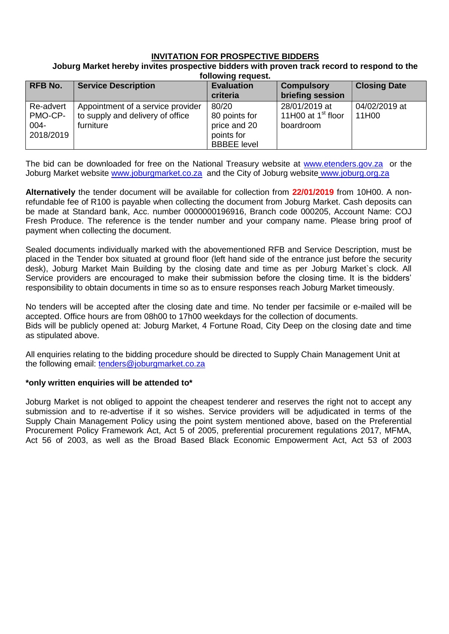# **INVITATION FOR PROSPECTIVE BIDDERS**

#### **Joburg Market hereby invites prospective bidders with proven track record to respond to the following request.**

| <b>RFB No.</b>                               | <b>Service Description</b>                                                         | <b>Evaluation</b><br>criteria                                              | <b>Compulsory</b><br>briefing session                        | <b>Closing Date</b>    |
|----------------------------------------------|------------------------------------------------------------------------------------|----------------------------------------------------------------------------|--------------------------------------------------------------|------------------------|
| Re-advert<br>PMO-CP-<br>$004 -$<br>2018/2019 | Appointment of a service provider<br>to supply and delivery of office<br>furniture | 80/20<br>80 points for<br>price and 20<br>points for<br><b>BBBEE</b> level | 28/01/2019 at<br>11H00 at 1 <sup>st</sup> floor<br>boardroom | 04/02/2019 at<br>11H00 |

The bid can be downloaded for free on the National Treasury website at [www.etenders.gov.za](http://www.etenders.gov.za/) or the Joburg Market website [www.joburgmarket.co.za](http://www.joburgmarket.co.za/) and the City of Joburg website [www.joburg.org.za](http://www.joburg.org.za/)

**Alternatively** the tender document will be available for collection from **22/01/2019** from 10H00. A nonrefundable fee of R100 is payable when collecting the document from Joburg Market. Cash deposits can be made at Standard bank, Acc. number 0000000196916, Branch code 000205, Account Name: COJ Fresh Produce. The reference is the tender number and your company name. Please bring proof of payment when collecting the document.

Sealed documents individually marked with the abovementioned RFB and Service Description, must be placed in the Tender box situated at ground floor (left hand side of the entrance just before the security desk), Joburg Market Main Building by the closing date and time as per Joburg Market`s clock. All Service providers are encouraged to make their submission before the closing time. It is the bidders' responsibility to obtain documents in time so as to ensure responses reach Joburg Market timeously.

No tenders will be accepted after the closing date and time. No tender per facsimile or e-mailed will be accepted. Office hours are from 08h00 to 17h00 weekdays for the collection of documents. Bids will be publicly opened at: Joburg Market, 4 Fortune Road, City Deep on the closing date and time as stipulated above.

All enquiries relating to the bidding procedure should be directed to Supply Chain Management Unit at the following email: [tenders@joburgmarket.co.za](mailto:tenders@joburgmarket.co.za)

## **\*only written enquiries will be attended to\***

Joburg Market is not obliged to appoint the cheapest tenderer and reserves the right not to accept any submission and to re-advertise if it so wishes. Service providers will be adjudicated in terms of the Supply Chain Management Policy using the point system mentioned above, based on the Preferential Procurement Policy Framework Act, Act 5 of 2005, preferential procurement regulations 2017, MFMA, Act 56 of 2003, as well as the Broad Based Black Economic Empowerment Act, Act 53 of 2003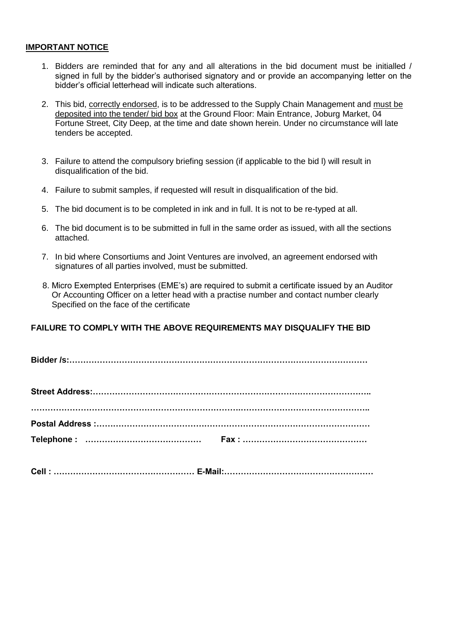## **IMPORTANT NOTICE**

- 1. Bidders are reminded that for any and all alterations in the bid document must be initialled / signed in full by the bidder's authorised signatory and or provide an accompanying letter on the bidder's official letterhead will indicate such alterations.
- 2. This bid, correctly endorsed, is to be addressed to the Supply Chain Management and must be deposited into the tender/ bid box at the Ground Floor: Main Entrance, Joburg Market, 04 Fortune Street, City Deep, at the time and date shown herein. Under no circumstance will late tenders be accepted.
- 3. Failure to attend the compulsory briefing session (if applicable to the bid l) will result in disqualification of the bid.
- 4. Failure to submit samples, if requested will result in disqualification of the bid.
- 5. The bid document is to be completed in ink and in full. It is not to be re-typed at all.
- 6. The bid document is to be submitted in full in the same order as issued, with all the sections attached.
- 7. In bid where Consortiums and Joint Ventures are involved, an agreement endorsed with signatures of all parties involved, must be submitted.
- 8. Micro Exempted Enterprises (EME's) are required to submit a certificate issued by an Auditor Or Accounting Officer on a letter head with a practise number and contact number clearly Specified on the face of the certificate

# **FAILURE TO COMPLY WITH THE ABOVE REQUIREMENTS MAY DISQUALIFY THE BID**

**Bidder /s:………………………………………………………………………………………………**

**Cell : …………………………………………… E-Mail:………………………………………………**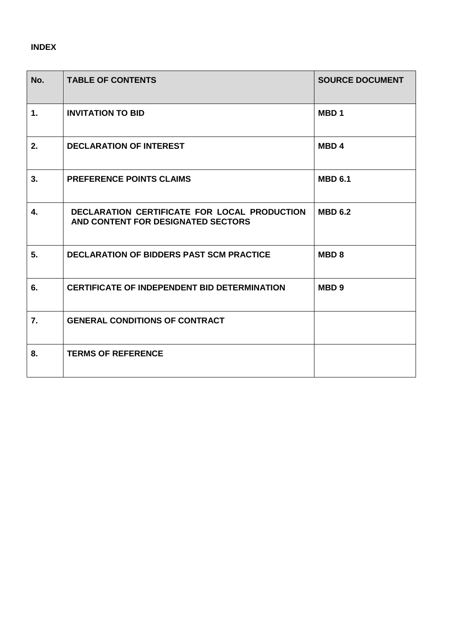# **INDEX**

| No.            | <b>TABLE OF CONTENTS</b>                                                           | <b>SOURCE DOCUMENT</b> |
|----------------|------------------------------------------------------------------------------------|------------------------|
| $\mathbf{1}$ . | <b>INVITATION TO BID</b>                                                           | MBD <sub>1</sub>       |
| 2.             | <b>DECLARATION OF INTEREST</b>                                                     | MBD <sub>4</sub>       |
| 3.             | <b>PREFERENCE POINTS CLAIMS</b>                                                    | <b>MBD 6.1</b>         |
| 4.             | DECLARATION CERTIFICATE FOR LOCAL PRODUCTION<br>AND CONTENT FOR DESIGNATED SECTORS | <b>MBD 6.2</b>         |
| 5 <sub>1</sub> | <b>DECLARATION OF BIDDERS PAST SCM PRACTICE</b>                                    | <b>MBD8</b>            |
| 6.             | <b>CERTIFICATE OF INDEPENDENT BID DETERMINATION</b>                                | MBD <sub>9</sub>       |
| 7.             | <b>GENERAL CONDITIONS OF CONTRACT</b>                                              |                        |
| 8.             | <b>TERMS OF REFERENCE</b>                                                          |                        |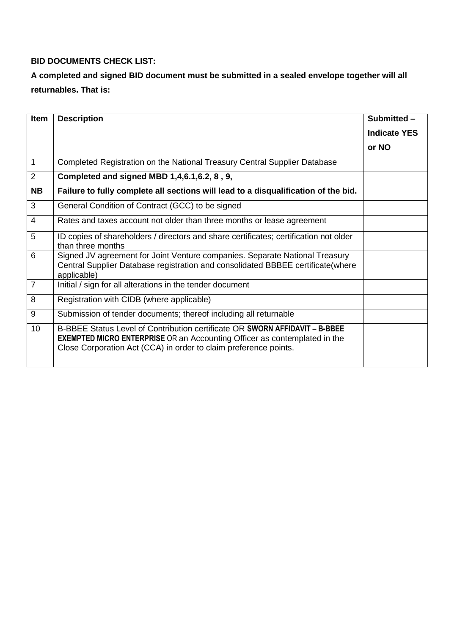# **BID DOCUMENTS CHECK LIST:**

# **A completed and signed BID document must be submitted in a sealed envelope together will all returnables. That is:**

| Item           | <b>Description</b>                                                                                                                                                                                                                  | Submitted -         |
|----------------|-------------------------------------------------------------------------------------------------------------------------------------------------------------------------------------------------------------------------------------|---------------------|
|                |                                                                                                                                                                                                                                     | <b>Indicate YES</b> |
|                |                                                                                                                                                                                                                                     | or NO               |
| $\mathbf 1$    | Completed Registration on the National Treasury Central Supplier Database                                                                                                                                                           |                     |
| $\overline{2}$ | Completed and signed MBD 1,4,6.1,6.2, 8, 9,                                                                                                                                                                                         |                     |
| <b>NB</b>      | Failure to fully complete all sections will lead to a disqualification of the bid.                                                                                                                                                  |                     |
| 3              | General Condition of Contract (GCC) to be signed                                                                                                                                                                                    |                     |
| 4              | Rates and taxes account not older than three months or lease agreement                                                                                                                                                              |                     |
| 5              | ID copies of shareholders / directors and share certificates; certification not older<br>than three months                                                                                                                          |                     |
| 6              | Signed JV agreement for Joint Venture companies. Separate National Treasury<br>Central Supplier Database registration and consolidated BBBEE certificate (where<br>applicable)                                                      |                     |
| $\overline{7}$ | Initial / sign for all alterations in the tender document                                                                                                                                                                           |                     |
| 8              | Registration with CIDB (where applicable)                                                                                                                                                                                           |                     |
| 9              | Submission of tender documents; thereof including all returnable                                                                                                                                                                    |                     |
| 10             | B-BBEE Status Level of Contribution certificate OR SWORN AFFIDAVIT - B-BBEE<br><b>EXEMPTED MICRO ENTERPRISE</b> OR an Accounting Officer as contemplated in the<br>Close Corporation Act (CCA) in order to claim preference points. |                     |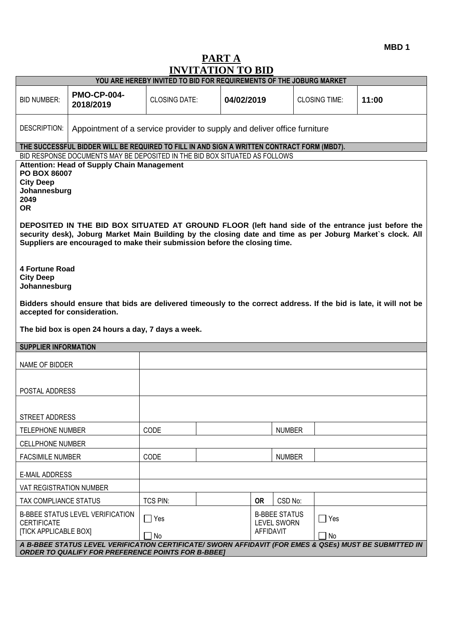**MBD 1**

# **PART A INVITATION TO BID**

| INVITATION TO DID                                                                                                                                                                                                                                                                                                                                                                                                                                                                                         |                                                                     |                                                                                                                                                                     |            |               |                      |       |
|-----------------------------------------------------------------------------------------------------------------------------------------------------------------------------------------------------------------------------------------------------------------------------------------------------------------------------------------------------------------------------------------------------------------------------------------------------------------------------------------------------------|---------------------------------------------------------------------|---------------------------------------------------------------------------------------------------------------------------------------------------------------------|------------|---------------|----------------------|-------|
|                                                                                                                                                                                                                                                                                                                                                                                                                                                                                                           | YOU ARE HEREBY INVITED TO BID FOR REQUIREMENTS OF THE JOBURG MARKET |                                                                                                                                                                     |            |               |                      |       |
| <b>BID NUMBER:</b>                                                                                                                                                                                                                                                                                                                                                                                                                                                                                        | <b>PMO-CP-004-</b><br>2018/2019                                     | <b>CLOSING DATE:</b>                                                                                                                                                | 04/02/2019 |               | <b>CLOSING TIME:</b> | 11:00 |
| DESCRIPTION:                                                                                                                                                                                                                                                                                                                                                                                                                                                                                              |                                                                     | Appointment of a service provider to supply and deliver office furniture                                                                                            |            |               |                      |       |
|                                                                                                                                                                                                                                                                                                                                                                                                                                                                                                           |                                                                     | THE SUCCESSFUL BIDDER WILL BE REQUIRED TO FILL IN AND SIGN A WRITTEN CONTRACT FORM (MBD7).                                                                          |            |               |                      |       |
| BID RESPONSE DOCUMENTS MAY BE DEPOSITED IN THE BID BOX SITUATED AS FOLLOWS<br><b>Attention: Head of Supply Chain Management</b><br>PO BOX 86007<br><b>City Deep</b><br>Johannesburg<br>2049<br><b>OR</b><br>DEPOSITED IN THE BID BOX SITUATED AT GROUND FLOOR (left hand side of the entrance just before the<br>security desk), Joburg Market Main Building by the closing date and time as per Joburg Market's clock. All<br>Suppliers are encouraged to make their submission before the closing time. |                                                                     |                                                                                                                                                                     |            |               |                      |       |
| <b>4 Fortune Road</b><br><b>City Deep</b><br>Johannesburg<br>Bidders should ensure that bids are delivered timeously to the correct address. If the bid is late, it will not be<br>accepted for consideration.<br>The bid box is open 24 hours a day, 7 days a week.                                                                                                                                                                                                                                      |                                                                     |                                                                                                                                                                     |            |               |                      |       |
| <b>SUPPLIER INFORMATION</b>                                                                                                                                                                                                                                                                                                                                                                                                                                                                               |                                                                     |                                                                                                                                                                     |            |               |                      |       |
| NAME OF BIDDER                                                                                                                                                                                                                                                                                                                                                                                                                                                                                            |                                                                     |                                                                                                                                                                     |            |               |                      |       |
|                                                                                                                                                                                                                                                                                                                                                                                                                                                                                                           | POSTAL ADDRESS                                                      |                                                                                                                                                                     |            |               |                      |       |
| STREET ADDRESS                                                                                                                                                                                                                                                                                                                                                                                                                                                                                            |                                                                     |                                                                                                                                                                     |            |               |                      |       |
| <b>TELEPHONE NUMBER</b>                                                                                                                                                                                                                                                                                                                                                                                                                                                                                   |                                                                     | CODE                                                                                                                                                                |            | <b>NUMBER</b> |                      |       |
| <b>CELLPHONE NUMBER</b>                                                                                                                                                                                                                                                                                                                                                                                                                                                                                   |                                                                     |                                                                                                                                                                     |            |               |                      |       |
| <b>FACSIMILE NUMBER</b>                                                                                                                                                                                                                                                                                                                                                                                                                                                                                   |                                                                     | CODE                                                                                                                                                                |            | <b>NUMBER</b> |                      |       |
|                                                                                                                                                                                                                                                                                                                                                                                                                                                                                                           | <b>E-MAIL ADDRESS</b>                                               |                                                                                                                                                                     |            |               |                      |       |
| VAT REGISTRATION NUMBER                                                                                                                                                                                                                                                                                                                                                                                                                                                                                   |                                                                     |                                                                                                                                                                     |            |               |                      |       |
| TAX COMPLIANCE STATUS                                                                                                                                                                                                                                                                                                                                                                                                                                                                                     |                                                                     | <b>TCS PIN:</b>                                                                                                                                                     | <b>OR</b>  | CSD No:       |                      |       |
| <b>CERTIFICATE</b><br><b>[TICK APPLICABLE BOX]</b>                                                                                                                                                                                                                                                                                                                                                                                                                                                        | B-BBEE STATUS LEVEL VERIFICATION                                    | <b>B-BBEE STATUS</b><br>$\Box$ Yes<br>$\Box$ Yes<br><b>LEVEL SWORN</b><br><b>AFFIDAVIT</b><br>No<br>$\Box$ No                                                       |            |               |                      |       |
|                                                                                                                                                                                                                                                                                                                                                                                                                                                                                                           |                                                                     | A B-BBEE STATUS LEVEL VERIFICATION CERTIFICATE/ SWORN AFFIDAVIT (FOR EMES & QSEs) MUST BE SUBMITTED IN<br><b>ORDER TO QUALIFY FOR PREFERENCE POINTS FOR B-BBEE]</b> |            |               |                      |       |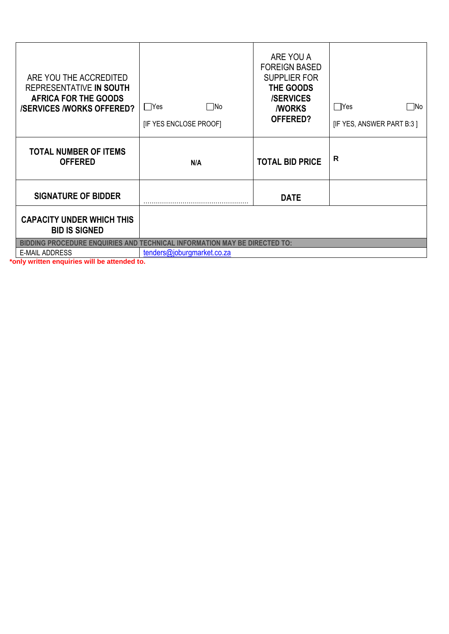| ARE YOU THE ACCREDITED<br>REPRESENTATIVE IN SOUTH<br><b>AFRICA FOR THE GOODS</b><br><b>/SERVICES /WORKS OFFERED?</b> | ∏No<br>  Yes<br><b>IF YES ENCLOSE PROOFI</b> | ARE YOU A<br><b>FOREIGN BASED</b><br><b>SUPPLIER FOR</b><br>THE GOODS<br><b>/SERVICES</b><br><b><i>NORKS</i></b><br>OFFERED? | $\Box$ Yes<br>lNo<br>[IF YES, ANSWER PART B:3] |
|----------------------------------------------------------------------------------------------------------------------|----------------------------------------------|------------------------------------------------------------------------------------------------------------------------------|------------------------------------------------|
| <b>TOTAL NUMBER OF ITEMS</b><br><b>OFFERED</b>                                                                       | N/A                                          | <b>TOTAL BID PRICE</b>                                                                                                       | R                                              |
| <b>SIGNATURE OF BIDDER</b>                                                                                           |                                              | <b>DATE</b>                                                                                                                  |                                                |
| <b>CAPACITY UNDER WHICH THIS</b><br><b>BID IS SIGNED</b>                                                             |                                              |                                                                                                                              |                                                |
| <b>BIDDING PROCEDURE ENQUIRIES AND TECHNICAL INFORMATION MAY BE DIRECTED TO:</b>                                     |                                              |                                                                                                                              |                                                |
| <b>E-MAIL ADDRESS</b>                                                                                                | tenders@joburgmarket.co.za                   |                                                                                                                              |                                                |

**\*only written enquiries will be attended to.**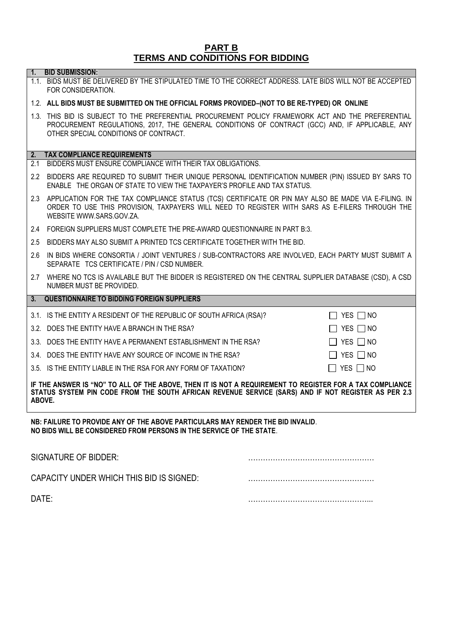### **PART B TERMS AND CONDITIONS FOR BIDDING**

#### **1. BID SUBMISSION:**

1.1. BIDS MUST BE DELIVERED BY THE STIPULATED TIME TO THE CORRECT ADDRESS. LATE BIDS WILL NOT BE ACCEPTED FOR CONSIDERATION.

#### 1.2. **ALL BIDS MUST BE SUBMITTED ON THE OFFICIAL FORMS PROVIDED–(NOT TO BE RE-TYPED) OR ONLINE**

1.3. THIS BID IS SUBJECT TO THE PREFERENTIAL PROCUREMENT POLICY FRAMEWORK ACT AND THE PREFERENTIAL PROCUREMENT REGULATIONS, 2017, THE GENERAL CONDITIONS OF CONTRACT (GCC) AND, IF APPLICABLE, ANY OTHER SPECIAL CONDITIONS OF CONTRACT.

#### **2. TAX COMPLIANCE REQUIREMENTS**

- 2.1 BIDDERS MUST ENSURE COMPLIANCE WITH THEIR TAX OBLIGATIONS.
- 2.2 BIDDERS ARE REQUIRED TO SUBMIT THEIR UNIQUE PERSONAL IDENTIFICATION NUMBER (PIN) ISSUED BY SARS TO ENABLE THE ORGAN OF STATE TO VIEW THE TAXPAYER'S PROFILE AND TAX STATUS.
- 2.3 APPLICATION FOR THE TAX COMPLIANCE STATUS (TCS) CERTIFICATE OR PIN MAY ALSO BE MADE VIA E-FILING. IN ORDER TO USE THIS PROVISION, TAXPAYERS WILL NEED TO REGISTER WITH SARS AS E-FILERS THROUGH THE WEBSIT[E WWW.SARS.GOV.ZA.](http://www.sars.gov.za/)
- 2.4 FOREIGN SUPPLIERS MUST COMPLETE THE PRE-AWARD QUESTIONNAIRE IN PART B:3.
- 2.5 BIDDERS MAY ALSO SUBMIT A PRINTED TCS CERTIFICATE TOGETHER WITH THE BID.
- 2.6 IN BIDS WHERE CONSORTIA / JOINT VENTURES / SUB-CONTRACTORS ARE INVOLVED, EACH PARTY MUST SUBMIT A SEPARATE TCS CERTIFICATE / PIN / CSD NUMBER.
- 2.7 WHERE NO TCS IS AVAILABLE BUT THE BIDDER IS REGISTERED ON THE CENTRAL SUPPLIER DATABASE (CSD), A CSD NUMBER MUST BE PROVIDED.

#### **3. QUESTIONNAIRE TO BIDDING FOREIGN SUPPLIERS**

3.1. IS THE ENTITY A RESIDENT OF THE REPUBLIC OF SOUTH AFRICA (RSA)?  $\Box$  YES  $\Box$  NO

3.2. DOES THE ENTITY HAVE A BRANCH IN THE RSA?  $\Box$  YES  $\Box$  NO

3.3. DOES THE ENTITY HAVE A PERMANENT ESTABLISHMENT IN THE RSA?  $\Box$  YES  $\Box$  NO

- 3.4. DOES THE ENTITY HAVE ANY SOURCE OF INCOME IN THE RSA?  $\square$  YES  $\square$  NO
- 3.5. IS THE ENTITY LIABLE IN THE RSA FOR ANY FORM OF TAXATION? YES NO

**IF THE ANSWER IS "NO" TO ALL OF THE ABOVE, THEN IT IS NOT A REQUIREMENT TO REGISTER FOR A TAX COMPLIANCE**  STATUS SYSTEM PIN CODE FROM THE SOUTH AFRICAN REVENUE SERVICE (SARS) AND IF NOT REGISTER AS PER 2.3 **ABOVE.**

**NB: FAILURE TO PROVIDE ANY OF THE ABOVE PARTICULARS MAY RENDER THE BID INVALID**. **NO BIDS WILL BE CONSIDERED FROM PERSONS IN THE SERVICE OF THE STATE**.

| SIGNATURE OF BIDDER:                     |  |
|------------------------------------------|--|
| CAPACITY UNDER WHICH THIS BID IS SIGNED: |  |
| DATE:                                    |  |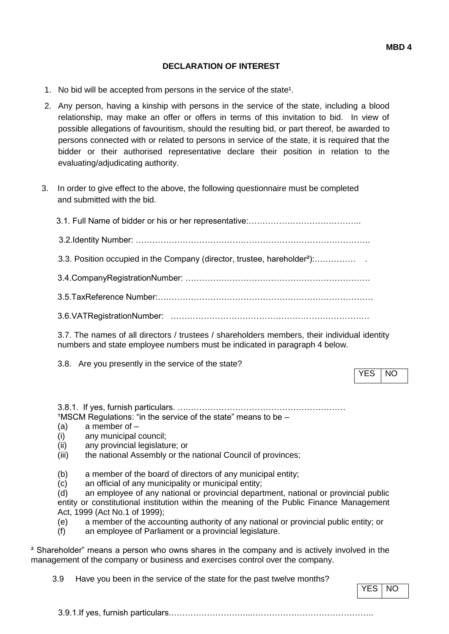### **DECLARATION OF INTEREST**

- 1. No bid will be accepted from persons in the service of the state<sup>1</sup>.
- 2. Any person, having a kinship with persons in the service of the state, including a blood relationship, may make an offer or offers in terms of this invitation to bid. In view of possible allegations of favouritism, should the resulting bid, or part thereof, be awarded to persons connected with or related to persons in service of the state, it is required that the bidder or their authorised representative declare their position in relation to the evaluating/adjudicating authority.
- 3. In order to give effect to the above, the following questionnaire must be completed and submitted with the bid.

| 3.3. Position occupied in the Company (director, trustee, hareholder <sup>2</sup> ): |
|--------------------------------------------------------------------------------------|
|                                                                                      |
|                                                                                      |
|                                                                                      |
|                                                                                      |

3.7. The names of all directors / trustees / shareholders members, their individual identity numbers and state employee numbers must be indicated in paragraph 4 below.

3.8. Are you presently in the service of the state?

YES INO

3.8.1. If yes, furnish particulars. ….…………………………………………………  $1$ MSCM Regulations: "in the service of the state" means to be  $-$ 

- (a) a member of –
- (i) any municipal council;
- (ii) any provincial legislature; or
- (iii) the national Assembly or the national Council of provinces;
- (b) a member of the board of directors of any municipal entity;
- (c) an official of any municipality or municipal entity;

(d) an employee of any national or provincial department, national or provincial public entity or constitutional institution within the meaning of the Public Finance Management Act, 1999 (Act No.1 of 1999);

- (e) a member of the accounting authority of any national or provincial public entity; or
- (f) an employee of Parliament or a provincial legislature.

² Shareholder" means a person who owns shares in the company and is actively involved in the management of the company or business and exercises control over the company.

3.9 Have you been in the service of the state for the past twelve months?

YES | NO

3.9.1.If yes, furnish particulars.………………………...……………………………………..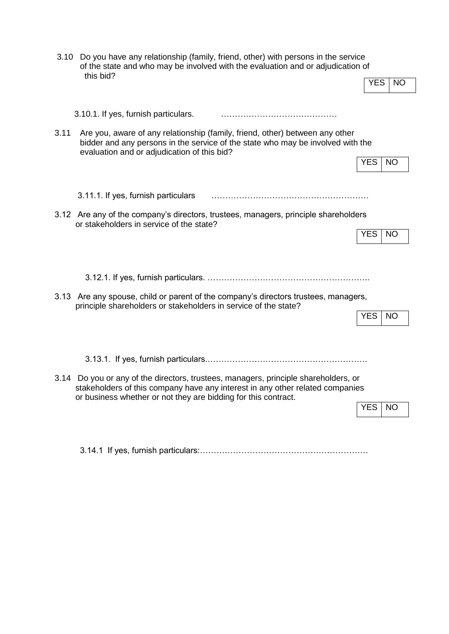|      | 3.10 Do you have any relationship (family, friend, other) with persons in the service<br>of the state and who may be involved with the evaluation and or adjudication of<br>this bid?                                                                  |            |           |
|------|--------------------------------------------------------------------------------------------------------------------------------------------------------------------------------------------------------------------------------------------------------|------------|-----------|
|      |                                                                                                                                                                                                                                                        | <b>YES</b> | <b>NO</b> |
| 3.11 | 3.10.1. If yes, furnish particulars.<br>Are you, aware of any relationship (family, friend, other) between any other<br>bidder and any persons in the service of the state who may be involved with the<br>evaluation and or adjudication of this bid? | <b>YES</b> | <b>NO</b> |
|      | 3.11.1. If yes, furnish particulars<br>3.12 Are any of the company's directors, trustees, managers, principle shareholders<br>or stakeholders in service of the state?                                                                                 | <b>YES</b> | <b>NO</b> |
|      | 3.13 Are any spouse, child or parent of the company's directors trustees, managers,<br>principle shareholders or stakeholders in service of the state?                                                                                                 | <b>YES</b> | <b>NO</b> |
|      | 3.14 Do you or any of the directors, trustees, managers, principle shareholders, or<br>stakeholders of this company have any interest in any other related companies<br>or business whether or not they are bidding for this contract.                 | <b>YES</b> | <b>NO</b> |

3.14.1 If yes, furnish particulars:…………………………………………………….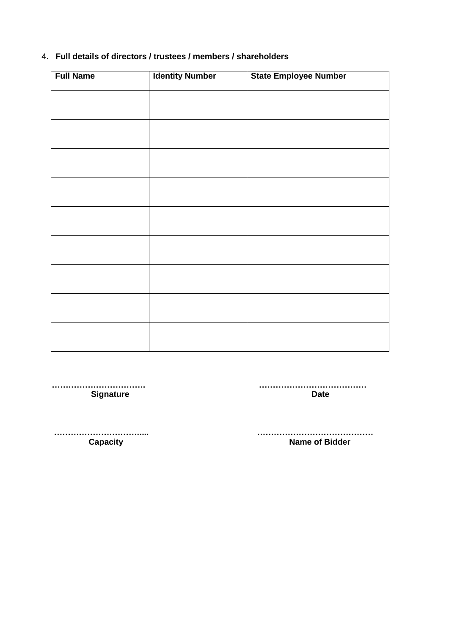# 4. **Full details of directors / trustees / members / shareholders**

| <b>Full Name</b> | <b>Identity Number</b> | <b>State Employee Number</b> |
|------------------|------------------------|------------------------------|
|                  |                        |                              |
|                  |                        |                              |
|                  |                        |                              |
|                  |                        |                              |
|                  |                        |                              |
|                  |                        |                              |
|                  |                        |                              |
|                  |                        |                              |
|                  |                        |                              |
|                  |                        |                              |
|                  |                        |                              |
|                  |                        |                              |
|                  |                        |                              |
|                  |                        |                              |
|                  |                        |                              |
|                  |                        |                              |

**Signature** 

 **……………………………. …………………………………**

 **…………………………..... …………………………………… Capacity Capacity Capacity Capacity Name of Bidder**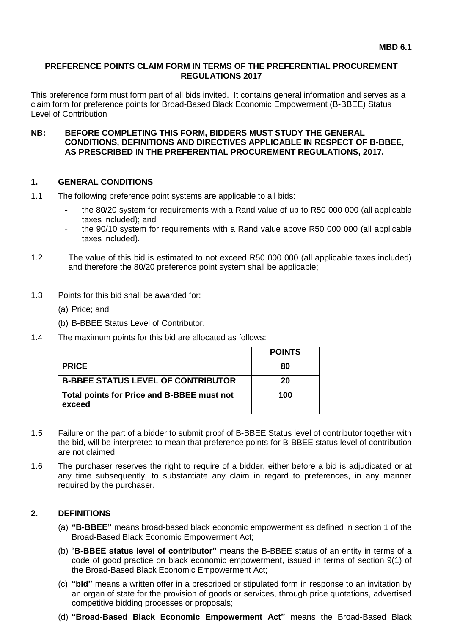### **PREFERENCE POINTS CLAIM FORM IN TERMS OF THE PREFERENTIAL PROCUREMENT REGULATIONS 2017**

This preference form must form part of all bids invited. It contains general information and serves as a claim form for preference points for Broad-Based Black Economic Empowerment (B-BBEE) Status Level of Contribution

**NB: BEFORE COMPLETING THIS FORM, BIDDERS MUST STUDY THE GENERAL CONDITIONS, DEFINITIONS AND DIRECTIVES APPLICABLE IN RESPECT OF B-BBEE, AS PRESCRIBED IN THE PREFERENTIAL PROCUREMENT REGULATIONS, 2017.** 

## **1. GENERAL CONDITIONS**

- 1.1 The following preference point systems are applicable to all bids:
	- the 80/20 system for requirements with a Rand value of up to R50 000 000 (all applicable taxes included); and
	- the 90/10 system for requirements with a Rand value above R50 000 000 (all applicable taxes included).
- 1.2 The value of this bid is estimated to not exceed R50 000 000 (all applicable taxes included) and therefore the 80/20 preference point system shall be applicable;
- 1.3 Points for this bid shall be awarded for:
	- (a) Price; and
	- (b) B-BBEE Status Level of Contributor.
- 1.4 The maximum points for this bid are allocated as follows:

|                                                      | <b>POINTS</b> |
|------------------------------------------------------|---------------|
| <b>PRICE</b>                                         | 80            |
| <b>B-BBEE STATUS LEVEL OF CONTRIBUTOR</b>            | 20            |
| Total points for Price and B-BBEE must not<br>exceed | 100           |

- 1.5 Failure on the part of a bidder to submit proof of B-BBEE Status level of contributor together with the bid, will be interpreted to mean that preference points for B-BBEE status level of contribution are not claimed.
- 1.6 The purchaser reserves the right to require of a bidder, either before a bid is adjudicated or at any time subsequently, to substantiate any claim in regard to preferences, in any manner required by the purchaser.

## **2. DEFINITIONS**

- (a) **"B-BBEE"** means broad-based black economic empowerment as defined in section 1 of the Broad-Based Black Economic Empowerment Act;
- (b) "**B-BBEE status level of contributor"** means the B-BBEE status of an entity in terms of a code of good practice on black economic empowerment, issued in terms of section 9(1) of the Broad-Based Black Economic Empowerment Act;
- (c) **"bid"** means a written offer in a prescribed or stipulated form in response to an invitation by an organ of state for the provision of goods or services, through price quotations, advertised competitive bidding processes or proposals;
- (d) **"Broad-Based Black Economic Empowerment Act"** means the Broad-Based Black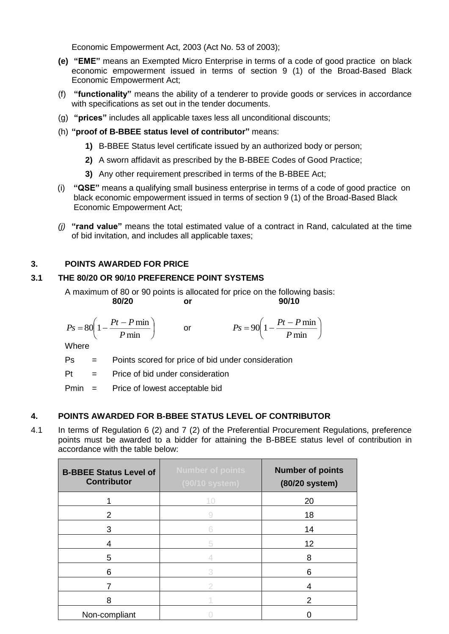Economic Empowerment Act, 2003 (Act No. 53 of 2003);

- **(e) "EME"** means an Exempted Micro Enterprise in terms of a code of good practice on black economic empowerment issued in terms of section 9 (1) of the Broad-Based Black Economic Empowerment Act;
- (f) **"functionality"** means the ability of a tenderer to provide goods or services in accordance with specifications as set out in the tender documents.
- (g) **"prices"** includes all applicable taxes less all unconditional discounts;
- (h) **"proof of B-BBEE status level of contributor"** means:
	- **1)** B-BBEE Status level certificate issued by an authorized body or person;
	- **2)** A sworn affidavit as prescribed by the B-BBEE Codes of Good Practice;
	- **3)** Any other requirement prescribed in terms of the B-BBEE Act;
- (i) **"QSE"** means a qualifying small business enterprise in terms of a code of good practice on black economic empowerment issued in terms of section 9 (1) of the Broad-Based Black Economic Empowerment Act;
- *(j)* **"rand value"** means the total estimated value of a contract in Rand, calculated at the time of bid invitation, and includes all applicable taxes;

# **3. POINTS AWARDED FOR PRICE**

# **3.1 THE 80/20 OR 90/10 PREFERENCE POINT SYSTEMS**

A maximum of 80 or 90 points is allocated for price on the following basis:<br>**80/20** or 90/10 **80/20 or 90/10**

$$
Ps = 80\left(1 - \frac{Pt - P \min P}{ \min}\right) \qquad \text{or} \qquad \qquad Ps = 90\left(1 - \frac{Pt - P \min P}{ \min}\right)
$$

**Where** 

Ps = Points scored for price of bid under consideration

 $Pt =$  Price of bid under consideration

Pmin = Price of lowest acceptable bid

# **4. POINTS AWARDED FOR B-BBEE STATUS LEVEL OF CONTRIBUTOR**

4.1 In terms of Regulation 6 (2) and 7 (2) of the Preferential Procurement Regulations, preference points must be awarded to a bidder for attaining the B-BBEE status level of contribution in accordance with the table below:

| <b>B-BBEE Status Level of</b><br><b>Contributor</b> | <b>Number of points</b><br>(90/10 system) | <b>Number of points</b><br>(80/20 system) |
|-----------------------------------------------------|-------------------------------------------|-------------------------------------------|
|                                                     | 10                                        | 20                                        |
| 2                                                   |                                           | 18                                        |
| 3                                                   |                                           | 14                                        |
| 4                                                   | 5                                         | 12                                        |
| 5                                                   |                                           | 8                                         |
| 6                                                   |                                           | 6                                         |
|                                                     |                                           | 4                                         |
| 8                                                   |                                           | 2                                         |
| Non-compliant                                       |                                           |                                           |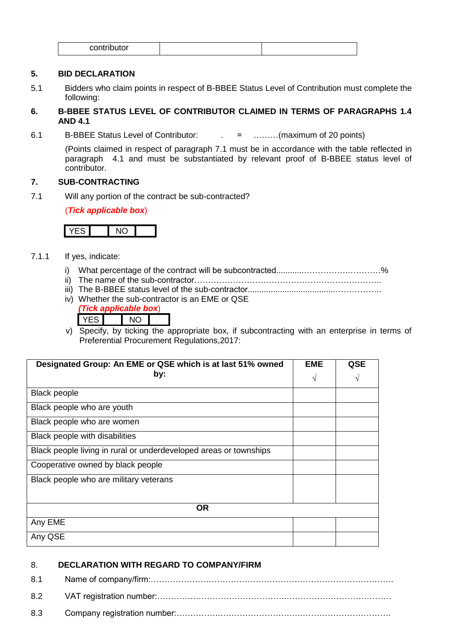|  | <br>$\sim$ $\sim$ $\sim$<br>.<br>٦ı<br>м<br>ັ |
|--|-----------------------------------------------|
|--|-----------------------------------------------|

## **5. BID DECLARATION**

5.1 Bidders who claim points in respect of B-BBEE Status Level of Contribution must complete the following:

# **6. B-BBEE STATUS LEVEL OF CONTRIBUTOR CLAIMED IN TERMS OF PARAGRAPHS 1.4 AND 4.1**

6.1 B-BBEE Status Level of Contributor: . = ………(maximum of 20 points)

(Points claimed in respect of paragraph 7.1 must be in accordance with the table reflected in paragraph 4.1 and must be substantiated by relevant proof of B-BBEE status level of contributor.

### **7. SUB-CONTRACTING**

7.1 Will any portion of the contract be sub-contracted?

(*Tick applicable box*)

- 7.1.1 If yes, indicate:
	- i) What percentage of the contract will be subcontracted............…………….…………%
	- ii) The name of the sub-contractor…………………………………………………………..
	- iii) The B-BBEE status level of the sub-contractor......................................……………..
	- iv) Whether the sub-contractor is an EME or QSE *(Tick applicable box*) YES NO

v) Specify, by ticking the appropriate box, if subcontracting with an enterprise in terms of Preferential Procurement Regulations,2017:

| Designated Group: An EME or QSE which is at last 51% owned        | <b>EME</b> | QSE |
|-------------------------------------------------------------------|------------|-----|
| by:                                                               | V          | V   |
| <b>Black people</b>                                               |            |     |
| Black people who are youth                                        |            |     |
| Black people who are women                                        |            |     |
| Black people with disabilities                                    |            |     |
| Black people living in rural or underdeveloped areas or townships |            |     |
| Cooperative owned by black people                                 |            |     |
| Black people who are military veterans                            |            |     |
|                                                                   |            |     |
| <b>OR</b>                                                         |            |     |
| Any EME                                                           |            |     |
| Any QSE                                                           |            |     |

## 8. **DECLARATION WITH REGARD TO COMPANY/FIRM**

| 8.1 |  |
|-----|--|
| 8.2 |  |
| 8.3 |  |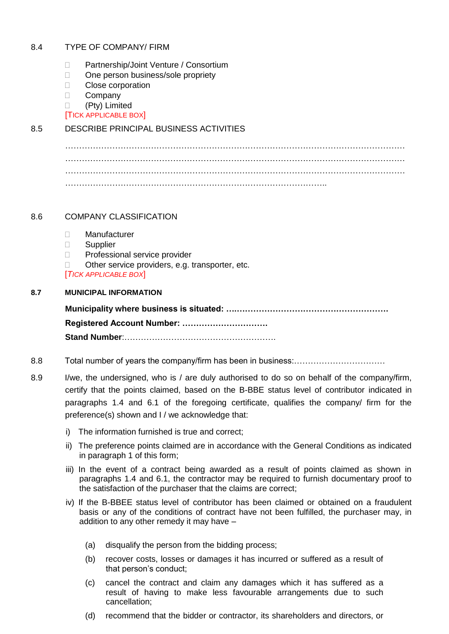### 8.4 TYPE OF COMPANY/ FIRM

- □ Partnership/Joint Venture / Consortium
- □ One person business/sole propriety
- **Close corporation**
- D Company
- (Pty) Limited

[TICK APPLICABLE BOX]

# 8.5 DESCRIBE PRINCIPAL BUSINESS ACTIVITIES

. The contract of the contract of the contract of the contract of the contract of the contract of the contract of the contract of the contract of the contract of the contract of the contract of the contract of the contrac …………………………………………………………………………………………………………… …………………………………………………………………………………………………………… …………………………………………………………………………………..

## 8.6 COMPANY CLASSIFICATION

- Manufacturer
- □ Supplier
- D Professional service provider
- $\Box$  Other service providers, e.g. transporter, etc.

[*TICK APPLICABLE BOX*]

### **8.7 MUNICIPAL INFORMATION**

**Municipality where business is situated: ….………………………………………………. Registered Account Number: …………………………. Stand Number**:……………………………………………….

- 8.8 Total number of years the company/firm has been in business:……………………………
- 8.9 I/we, the undersigned, who is / are duly authorised to do so on behalf of the company/firm, certify that the points claimed, based on the B-BBE status level of contributor indicated in paragraphs 1.4 and 6.1 of the foregoing certificate, qualifies the company/ firm for the preference(s) shown and I / we acknowledge that:
	- i) The information furnished is true and correct;
	- ii) The preference points claimed are in accordance with the General Conditions as indicated in paragraph 1 of this form;
	- iii) In the event of a contract being awarded as a result of points claimed as shown in paragraphs 1.4 and 6.1, the contractor may be required to furnish documentary proof to the satisfaction of the purchaser that the claims are correct;
	- iv) If the B-BBEE status level of contributor has been claimed or obtained on a fraudulent basis or any of the conditions of contract have not been fulfilled, the purchaser may, in addition to any other remedy it may have –
		- (a) disqualify the person from the bidding process;
		- (b) recover costs, losses or damages it has incurred or suffered as a result of that person's conduct;
		- (c) cancel the contract and claim any damages which it has suffered as a result of having to make less favourable arrangements due to such cancellation;
		- (d) recommend that the bidder or contractor, its shareholders and directors, or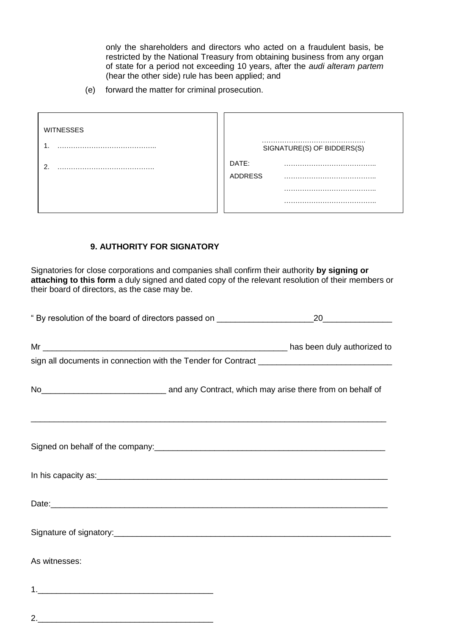only the shareholders and directors who acted on a fraudulent basis, be restricted by the National Treasury from obtaining business from any organ of state for a period not exceeding 10 years, after the *audi alteram partem* (hear the other side) rule has been applied; and

(e) forward the matter for criminal prosecution.

| <b>WITNESSES</b> |                            |
|------------------|----------------------------|
|                  | SIGNATURE(S) OF BIDDERS(S) |
| ີ                | DATE:<br><b>ADDRESS</b>    |
|                  |                            |
|                  |                            |

# **9. AUTHORITY FOR SIGNATORY**

2.\_\_\_\_\_\_\_\_\_\_\_\_\_\_\_\_\_\_\_\_\_\_\_\_\_\_\_\_\_\_\_\_\_\_\_\_\_\_

Signatories for close corporations and companies shall confirm their authority **by signing or attaching to this form** a duly signed and dated copy of the relevant resolution of their members or their board of directors, as the case may be.

| No <sub>___________________________________</sub> and any Contract, which may arise there from on behalf of |  |  |
|-------------------------------------------------------------------------------------------------------------|--|--|
| Signed on behalf of the company:<br>Signed on behalf of the company:                                        |  |  |
|                                                                                                             |  |  |
|                                                                                                             |  |  |
|                                                                                                             |  |  |
| As witnesses:                                                                                               |  |  |
|                                                                                                             |  |  |
|                                                                                                             |  |  |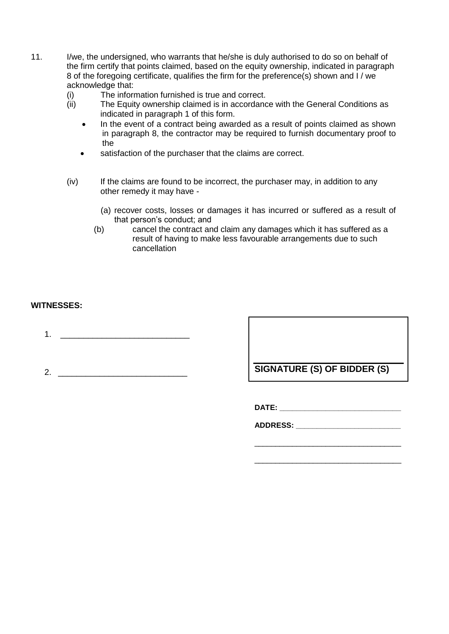- 11. I/we, the undersigned, who warrants that he/she is duly authorised to do so on behalf of the firm certify that points claimed, based on the equity ownership, indicated in paragraph 8 of the foregoing certificate, qualifies the firm for the preference(s) shown and I / we acknowledge that:
	- (i) The information furnished is true and correct.<br>(ii) The Equity ownership claimed is in accordanc
	- The Equity ownership claimed is in accordance with the General Conditions as indicated in paragraph 1 of this form.
		- In the event of a contract being awarded as a result of points claimed as shown in paragraph 8, the contractor may be required to furnish documentary proof to the
		- satisfaction of the purchaser that the claims are correct.
	- (iv) If the claims are found to be incorrect, the purchaser may, in addition to any other remedy it may have -
		- (a) recover costs, losses or damages it has incurred or suffered as a result of that person's conduct; and
		- (b) cancel the contract and claim any damages which it has suffered as a result of having to make less favourable arrangements due to such cancellation

# **WITNESSES:**

- 1.  $\frac{1}{2}$  ,  $\frac{1}{2}$  ,  $\frac{1}{2}$  ,  $\frac{1}{2}$  ,  $\frac{1}{2}$  ,  $\frac{1}{2}$  ,  $\frac{1}{2}$
- 

2. \_\_\_\_\_\_\_\_\_\_\_\_\_\_\_\_\_\_\_\_\_\_\_\_\_\_\_\_ **SIGNATURE (S) OF BIDDER (S)**

\_\_\_\_\_\_\_\_\_\_\_\_\_\_\_\_\_\_\_\_\_\_\_\_\_\_\_\_\_\_\_\_\_\_\_

\_\_\_\_\_\_\_\_\_\_\_\_\_\_\_\_\_\_\_\_\_\_\_\_\_\_\_\_\_\_\_\_\_\_\_

**DATE: \_\_\_\_\_\_\_\_\_\_\_\_\_\_\_\_\_\_\_\_\_\_\_\_\_\_\_\_\_**

**ADDRESS: \_\_\_\_\_\_\_\_\_\_\_\_\_\_\_\_\_\_\_\_\_\_\_\_\_**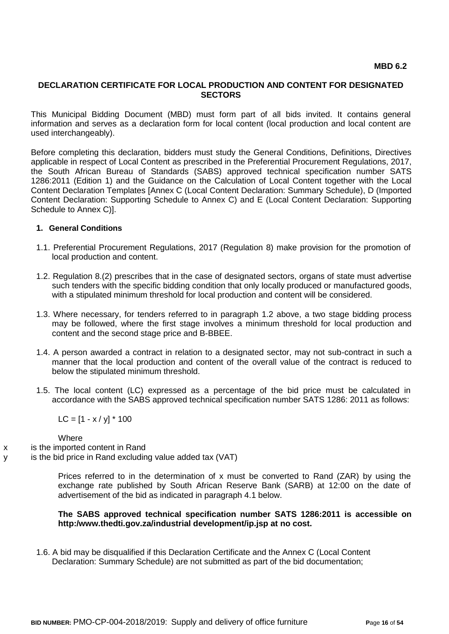#### **DECLARATION CERTIFICATE FOR LOCAL PRODUCTION AND CONTENT FOR DESIGNATED SECTORS**

This Municipal Bidding Document (MBD) must form part of all bids invited. It contains general information and serves as a declaration form for local content (local production and local content are used interchangeably).

Before completing this declaration, bidders must study the General Conditions, Definitions, Directives applicable in respect of Local Content as prescribed in the Preferential Procurement Regulations, 2017, the South African Bureau of Standards (SABS) approved technical specification number SATS 1286:2011 (Edition 1) and the Guidance on the Calculation of Local Content together with the Local Content Declaration Templates [Annex C (Local Content Declaration: Summary Schedule), D (Imported Content Declaration: Supporting Schedule to Annex C) and E (Local Content Declaration: Supporting Schedule to Annex C)].

#### **1. General Conditions**

- 1.1. Preferential Procurement Regulations, 2017 (Regulation 8) make provision for the promotion of local production and content.
- 1.2. Regulation 8.(2) prescribes that in the case of designated sectors, organs of state must advertise such tenders with the specific bidding condition that only locally produced or manufactured goods, with a stipulated minimum threshold for local production and content will be considered.
- 1.3. Where necessary, for tenders referred to in paragraph 1.2 above, a two stage bidding process may be followed, where the first stage involves a minimum threshold for local production and content and the second stage price and B-BBEE.
- 1.4. A person awarded a contract in relation to a designated sector, may not sub-contract in such a manner that the local production and content of the overall value of the contract is reduced to below the stipulated minimum threshold.
- 1.5. The local content (LC) expressed as a percentage of the bid price must be calculated in accordance with the SABS approved technical specification number SATS 1286: 2011 as follows:

 $LC = [1 - x / y] * 100$ 

**Where** 

- x is the imported content in Rand
- y is the bid price in Rand excluding value added tax (VAT)

Prices referred to in the determination of x must be converted to Rand (ZAR) by using the exchange rate published by South African Reserve Bank (SARB) at 12:00 on the date of advertisement of the bid as indicated in paragraph 4.1 below.

#### **The SABS approved technical specification number SATS 1286:2011 is accessible on http:/www.thedti.gov.za/industrial development/ip.jsp at no cost.**

1.6. A bid may be disqualified if this Declaration Certificate and the Annex C (Local Content Declaration: Summary Schedule) are not submitted as part of the bid documentation;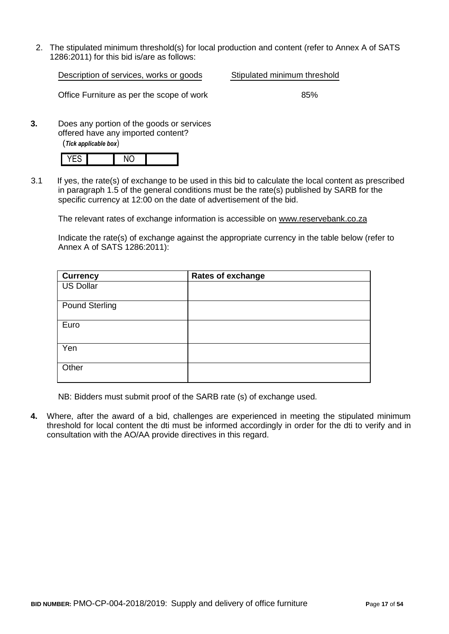2. The stipulated minimum threshold(s) for local production and content (refer to Annex A of SATS 1286:2011) for this bid is/are as follows:

Description of services, works or goods Stipulated minimum threshold

Office Furniture as per the scope of work 85%

**3.** Does any portion of the goods or services offered have any imported content? (*Tick applicable box*)

3.1 If yes, the rate(s) of exchange to be used in this bid to calculate the local content as prescribed in paragraph 1.5 of the general conditions must be the rate(s) published by SARB for the specific currency at 12:00 on the date of advertisement of the bid.

The relevant rates of exchange information is accessible on [www.reservebank.co.za](http://www.reservebank.co.za/)

Indicate the rate(s) of exchange against the appropriate currency in the table below (refer to Annex A of SATS 1286:2011):

| <b>Currency</b>       | <b>Rates of exchange</b> |
|-----------------------|--------------------------|
| <b>US Dollar</b>      |                          |
| <b>Pound Sterling</b> |                          |
| Euro                  |                          |
| Yen                   |                          |
| Other                 |                          |

NB: Bidders must submit proof of the SARB rate (s) of exchange used.

**4.** Where, after the award of a bid, challenges are experienced in meeting the stipulated minimum threshold for local content the dti must be informed accordingly in order for the dti to verify and in consultation with the AO/AA provide directives in this regard.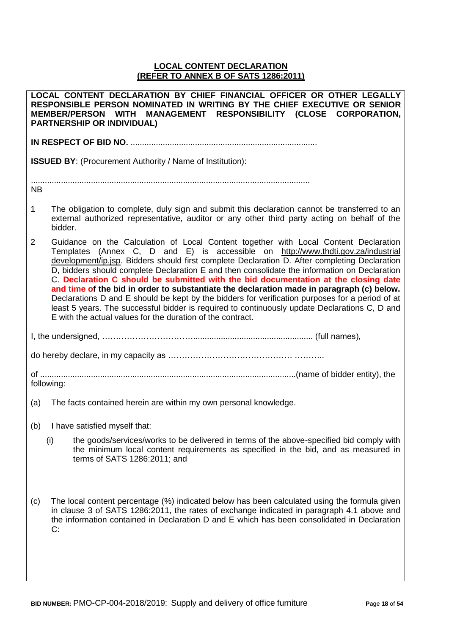# **LOCAL CONTENT DECLARATION (REFER TO ANNEX B OF SATS 1286:2011)**

|             | LOCAL CONTENT DECLARATION BY CHIEF FINANCIAL OFFICER OR OTHER LEGALLY<br>RESPONSIBLE PERSON NOMINATED IN WRITING BY THE CHIEF EXECUTIVE OR SENIOR<br>MEMBER/PERSON WITH MANAGEMENT RESPONSIBILITY (CLOSE CORPORATION,<br><b>PARTNERSHIP OR INDIVIDUAL)</b>                                                                                                                                                                                                                                                                                                                                                                                                                                                                                                                                                                      |  |  |  |  |
|-------------|---------------------------------------------------------------------------------------------------------------------------------------------------------------------------------------------------------------------------------------------------------------------------------------------------------------------------------------------------------------------------------------------------------------------------------------------------------------------------------------------------------------------------------------------------------------------------------------------------------------------------------------------------------------------------------------------------------------------------------------------------------------------------------------------------------------------------------|--|--|--|--|
|             |                                                                                                                                                                                                                                                                                                                                                                                                                                                                                                                                                                                                                                                                                                                                                                                                                                 |  |  |  |  |
|             | <b>ISSUED BY:</b> (Procurement Authority / Name of Institution):                                                                                                                                                                                                                                                                                                                                                                                                                                                                                                                                                                                                                                                                                                                                                                |  |  |  |  |
| <b>NB</b>   |                                                                                                                                                                                                                                                                                                                                                                                                                                                                                                                                                                                                                                                                                                                                                                                                                                 |  |  |  |  |
| $\mathbf 1$ | The obligation to complete, duly sign and submit this declaration cannot be transferred to an<br>external authorized representative, auditor or any other third party acting on behalf of the<br>bidder.                                                                                                                                                                                                                                                                                                                                                                                                                                                                                                                                                                                                                        |  |  |  |  |
| 2           | Guidance on the Calculation of Local Content together with Local Content Declaration<br>Templates (Annex C, D and E) is accessible on http://www.thdti.gov.za/industrial<br>development/ip.jsp. Bidders should first complete Declaration D. After completing Declaration<br>D, bidders should complete Declaration E and then consolidate the information on Declaration<br>C. Declaration C should be submitted with the bid documentation at the closing date<br>and time of the bid in order to substantiate the declaration made in paragraph (c) below.<br>Declarations D and E should be kept by the bidders for verification purposes for a period of at<br>least 5 years. The successful bidder is required to continuously update Declarations C, D and<br>E with the actual values for the duration of the contract. |  |  |  |  |
|             |                                                                                                                                                                                                                                                                                                                                                                                                                                                                                                                                                                                                                                                                                                                                                                                                                                 |  |  |  |  |
|             |                                                                                                                                                                                                                                                                                                                                                                                                                                                                                                                                                                                                                                                                                                                                                                                                                                 |  |  |  |  |
|             | following:                                                                                                                                                                                                                                                                                                                                                                                                                                                                                                                                                                                                                                                                                                                                                                                                                      |  |  |  |  |
| (a)         | The facts contained herein are within my own personal knowledge.                                                                                                                                                                                                                                                                                                                                                                                                                                                                                                                                                                                                                                                                                                                                                                |  |  |  |  |
|             | (b) I have satisfied myself that:                                                                                                                                                                                                                                                                                                                                                                                                                                                                                                                                                                                                                                                                                                                                                                                               |  |  |  |  |
|             | (i)<br>the goods/services/works to be delivered in terms of the above-specified bid comply with<br>the minimum local content requirements as specified in the bid, and as measured in<br>terms of SATS 1286:2011; and                                                                                                                                                                                                                                                                                                                                                                                                                                                                                                                                                                                                           |  |  |  |  |
| (c)         | The local content percentage (%) indicated below has been calculated using the formula given<br>in clause 3 of SATS 1286:2011, the rates of exchange indicated in paragraph 4.1 above and<br>the information contained in Declaration D and E which has been consolidated in Declaration<br>C:                                                                                                                                                                                                                                                                                                                                                                                                                                                                                                                                  |  |  |  |  |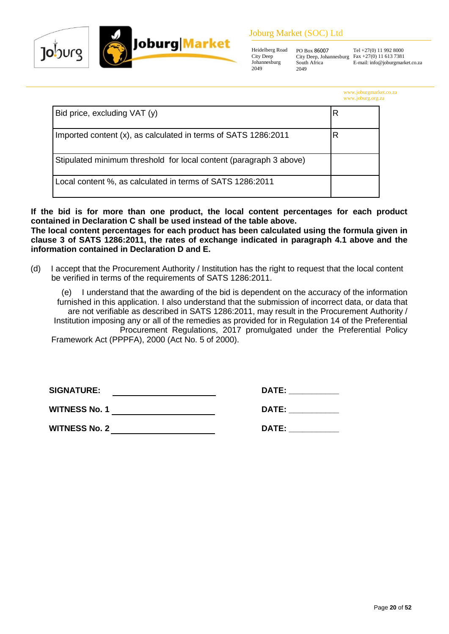

# Joburg Market (SOC) Ltd

Heidelberg Road City Deep Johannesburg 2049 2049

PO Box 86007 City Deep, Johannesburg South Africa

Tel +27(0) 11 992 8000 Fax +27(0) 11 613 7381 E-mail: info@joburgmarket.co.za

| www.joburgmarket.co.za |  |  |  |
|------------------------|--|--|--|
| www.joburg.org.za      |  |  |  |

| Bid price, excluding VAT (y)                                       |   |
|--------------------------------------------------------------------|---|
| Imported content (x), as calculated in terms of SATS 1286:2011     | R |
| Stipulated minimum threshold for local content (paragraph 3 above) |   |
| Local content %, as calculated in terms of SATS 1286:2011          |   |

**If the bid is for more than one product, the local content percentages for each product contained in Declaration C shall be used instead of the table above.**

**The local content percentages for each product has been calculated using the formula given in clause 3 of SATS 1286:2011, the rates of exchange indicated in paragraph 4.1 above and the information contained in Declaration D and E.**

(d) I accept that the Procurement Authority / Institution has the right to request that the local content be verified in terms of the requirements of SATS 1286:2011.

(e) I understand that the awarding of the bid is dependent on the accuracy of the information furnished in this application. I also understand that the submission of incorrect data, or data that are not verifiable as described in SATS 1286:2011, may result in the Procurement Authority / Institution imposing any or all of the remedies as provided for in Regulation 14 of the Preferential Procurement Regulations, 2017 promulgated under the Preferential Policy Framework Act (PPPFA), 2000 (Act No. 5 of 2000).

| <b>SIGNATURE:</b>    | DATE: |
|----------------------|-------|
| <b>WITNESS No. 1</b> | DATE: |
| <b>WITNESS No. 2</b> | DATE: |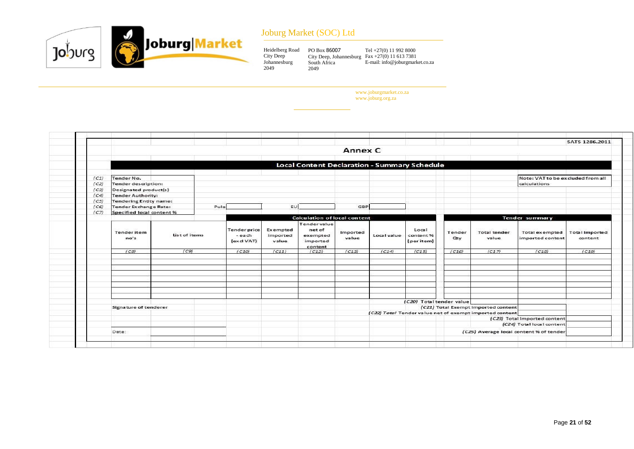

# Joburg Market (SOC) Ltd

| Heidelberg Road | PO Box 86007                                     | Tel $+27(0)$ 11 992 8000        |
|-----------------|--------------------------------------------------|---------------------------------|
| City Deep       | City Deep, Johannesburg Fax $+27(0)$ 11 613 7381 |                                 |
| Johannesburg    | South Africa                                     | E-mail: info@joburgmarket.co.za |
| 2049            | 2049                                             |                                 |

www.joburgmarket.co.za www.joburg.org.za

|      |                               |               |                                             |                               |                                                                  |                   |             |                                  |               |                                                                                                |                                           | SATS 1286.2011                   |
|------|-------------------------------|---------------|---------------------------------------------|-------------------------------|------------------------------------------------------------------|-------------------|-------------|----------------------------------|---------------|------------------------------------------------------------------------------------------------|-------------------------------------------|----------------------------------|
|      |                               |               |                                             |                               |                                                                  | Annex C           |             |                                  |               |                                                                                                |                                           |                                  |
|      |                               |               |                                             |                               | <b>Local Content Declaration - Summary Schedule</b>              |                   |             |                                  |               |                                                                                                |                                           |                                  |
| (C1) | Tender No.                    |               |                                             |                               |                                                                  |                   |             |                                  |               |                                                                                                | Note: VAT to be excluded from all         |                                  |
| (C2) | Tender description:           |               |                                             |                               |                                                                  |                   |             |                                  |               |                                                                                                | calculations                              |                                  |
| (C3) | Designated product(s)         |               |                                             |                               |                                                                  |                   |             |                                  |               |                                                                                                |                                           |                                  |
| (C4) | <b>Tender Authority:</b>      |               |                                             |                               |                                                                  |                   |             |                                  |               |                                                                                                |                                           |                                  |
| (C5) | <b>Tendering Entity name:</b> |               |                                             |                               |                                                                  |                   |             |                                  |               |                                                                                                |                                           |                                  |
| (CG) | <b>Tender Exchange Rate:</b>  |               | Pula                                        | EU                            |                                                                  | GBP               |             |                                  |               |                                                                                                |                                           |                                  |
| (C7) | Specified local content %     |               |                                             |                               |                                                                  |                   |             |                                  |               |                                                                                                |                                           |                                  |
|      |                               |               |                                             |                               | <b>Calculation of local content</b>                              |                   |             |                                  |               |                                                                                                | Tender summary                            |                                  |
|      | <b>Tender</b> item<br>no's    | List of items | <b>Tender price</b><br>- each<br>(excl VAT) | Exempted<br>imported<br>value | <b>Tender value</b><br>net of<br>exempted<br>imported<br>content | Imported<br>value | Local value | Local<br>content %<br>(per item) | Tender<br>Oty | <b>Total tender</b><br>value                                                                   | <b>Total exempted</b><br>imported content | <b>Total Imported</b><br>content |
|      | (C8)                          | (C9)          | (C10)                                       | (C11)                         | (C12)                                                            | (C13)             | (C14)       | (C15)                            | (C16)         | (C17)                                                                                          | (C18)                                     | (C19)                            |
|      | Signature of tenderer         |               |                                             |                               |                                                                  |                   |             | (C20) Total tender value         |               | (C21) Total Exempt imported content<br>(C22) Total Tender value net of exempt imported content | (C23) Total Imported content              |                                  |
|      |                               |               |                                             |                               |                                                                  |                   |             |                                  |               |                                                                                                | (C24) Total local content                 |                                  |
|      | Date:                         |               |                                             |                               |                                                                  |                   |             |                                  |               |                                                                                                | (C25) Average local content % of tender   |                                  |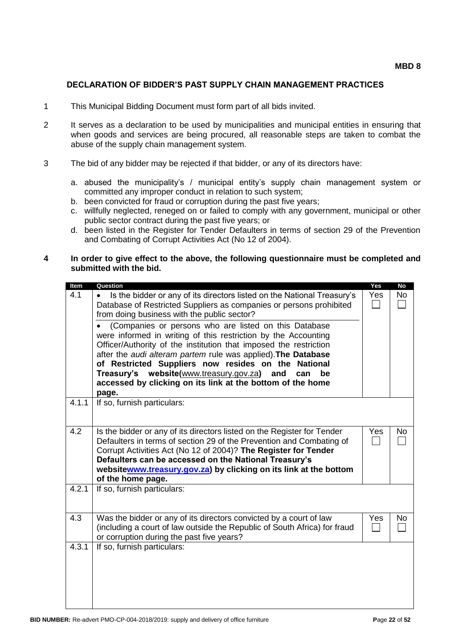### **DECLARATION OF BIDDER'S PAST SUPPLY CHAIN MANAGEMENT PRACTICES**

- 1 This Municipal Bidding Document must form part of all bids invited.
- 2 It serves as a declaration to be used by municipalities and municipal entities in ensuring that when goods and services are being procured, all reasonable steps are taken to combat the abuse of the supply chain management system.
- 3 The bid of any bidder may be rejected if that bidder, or any of its directors have:
	- a. abused the municipality's / municipal entity's supply chain management system or committed any improper conduct in relation to such system;
	- b. been convicted for fraud or corruption during the past five years;
	- c. willfully neglected, reneged on or failed to comply with any government, municipal or other public sector contract during the past five years; or
	- d. been listed in the Register for Tender Defaulters in terms of section 29 of the Prevention and Combating of Corrupt Activities Act (No 12 of 2004).

#### **4 In order to give effect to the above, the following questionnaire must be completed and submitted with the bid.**

| Item  | Question                                                                                                                                                                                                                                                                                                                                                                                                                                                                                                                        | Yes | <b>No</b> |
|-------|---------------------------------------------------------------------------------------------------------------------------------------------------------------------------------------------------------------------------------------------------------------------------------------------------------------------------------------------------------------------------------------------------------------------------------------------------------------------------------------------------------------------------------|-----|-----------|
| 4.1   | Is the bidder or any of its directors listed on the National Treasury's<br>Database of Restricted Suppliers as companies or persons prohibited<br>from doing business with the public sector?<br>(Companies or persons who are listed on this Database<br>were informed in writing of this restriction by the Accounting<br>Officer/Authority of the institution that imposed the restriction<br>after the audi alteram partem rule was applied). The Database<br>of Restricted Suppliers now resides on the<br><b>National</b> | Yes | <b>No</b> |
|       | Treasury's website(www.treasury.gov.za)<br>and<br>can<br>be<br>accessed by clicking on its link at the bottom of the home<br>page.                                                                                                                                                                                                                                                                                                                                                                                              |     |           |
| 4.1.1 | If so, furnish particulars:                                                                                                                                                                                                                                                                                                                                                                                                                                                                                                     |     |           |
| 4.2   | Is the bidder or any of its directors listed on the Register for Tender<br>Defaulters in terms of section 29 of the Prevention and Combating of<br>Corrupt Activities Act (No 12 of 2004)? The Register for Tender<br>Defaulters can be accessed on the National Treasury's<br>websitewww.treasury.gov.za) by clicking on its link at the bottom<br>of the home page.                                                                                                                                                           | Yes | No        |
| 4.2.1 | If so, furnish particulars:                                                                                                                                                                                                                                                                                                                                                                                                                                                                                                     |     |           |
| 4.3   | Was the bidder or any of its directors convicted by a court of law<br>(including a court of law outside the Republic of South Africa) for fraud<br>or corruption during the past five years?                                                                                                                                                                                                                                                                                                                                    | Yes | No        |
| 4.3.1 | If so, furnish particulars:                                                                                                                                                                                                                                                                                                                                                                                                                                                                                                     |     |           |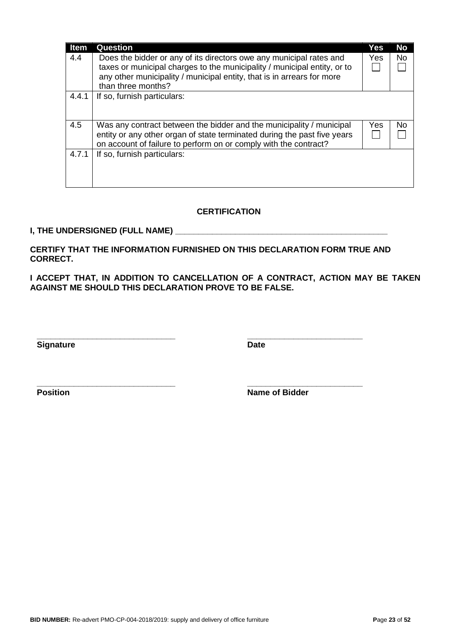| <b>Item</b> | <b>Question</b>                                                                                                                                                                                                                                 | Yes        | <b>No</b> |
|-------------|-------------------------------------------------------------------------------------------------------------------------------------------------------------------------------------------------------------------------------------------------|------------|-----------|
| 4.4         | Does the bidder or any of its directors owe any municipal rates and<br>taxes or municipal charges to the municipality / municipal entity, or to<br>any other municipality / municipal entity, that is in arrears for more<br>than three months? | <b>Yes</b> | <b>No</b> |
| 4.4.1       | If so, furnish particulars:                                                                                                                                                                                                                     |            |           |
| 4.5         | Was any contract between the bidder and the municipality / municipal<br>entity or any other organ of state terminated during the past five years<br>on account of failure to perform on or comply with the contract?                            | Yes        | No        |
| 4.7.1       | If so, furnish particulars:                                                                                                                                                                                                                     |            |           |

# **CERTIFICATION**

## **I, THE UNDERSIGNED (FULL NAME) \_\_\_\_\_\_\_\_\_\_\_\_\_\_\_\_\_\_\_\_\_\_\_\_\_\_\_\_\_\_\_\_\_\_\_\_\_\_\_\_\_\_\_\_\_\_**

**CERTIFY THAT THE INFORMATION FURNISHED ON THIS DECLARATION FORM TRUE AND CORRECT.**

**\_\_\_\_\_\_\_\_\_\_\_\_\_\_\_\_\_\_\_\_\_\_\_\_\_\_\_\_\_\_ \_\_\_\_\_\_\_\_\_\_\_\_\_\_\_\_\_\_\_\_\_\_\_\_\_**

**I ACCEPT THAT, IN ADDITION TO CANCELLATION OF A CONTRACT, ACTION MAY BE TAKEN AGAINST ME SHOULD THIS DECLARATION PROVE TO BE FALSE.**

**Signature Date** 

**\_\_\_\_\_\_\_\_\_\_\_\_\_\_\_\_\_\_\_\_\_\_\_\_\_\_\_\_\_\_ \_\_\_\_\_\_\_\_\_\_\_\_\_\_\_\_\_\_\_\_\_\_\_\_\_ Position Name of Bidder**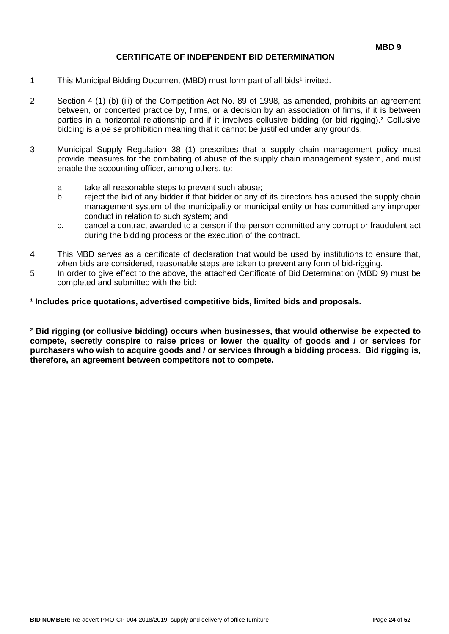# **CERTIFICATE OF INDEPENDENT BID DETERMINATION**

- 1 This Municipal Bidding Document (MBD) must form part of all bids<sup>1</sup> invited.
- 2 Section 4 (1) (b) (iii) of the Competition Act No. 89 of 1998, as amended, prohibits an agreement between, or concerted practice by, firms, or a decision by an association of firms, if it is between parties in a horizontal relationship and if it involves collusive bidding (or bid rigging).² Collusive bidding is a *pe se* prohibition meaning that it cannot be justified under any grounds.
- 3 Municipal Supply Regulation 38 (1) prescribes that a supply chain management policy must provide measures for the combating of abuse of the supply chain management system, and must enable the accounting officer, among others, to:
	- a. take all reasonable steps to prevent such abuse;
	- b. reject the bid of any bidder if that bidder or any of its directors has abused the supply chain management system of the municipality or municipal entity or has committed any improper conduct in relation to such system; and
	- c. cancel a contract awarded to a person if the person committed any corrupt or fraudulent act during the bidding process or the execution of the contract.
- 4 This MBD serves as a certificate of declaration that would be used by institutions to ensure that, when bids are considered, reasonable steps are taken to prevent any form of bid-rigging.
- 5 In order to give effect to the above, the attached Certificate of Bid Determination (MBD 9) must be completed and submitted with the bid:

<sup>1</sup> Includes price quotations, advertised competitive bids, limited bids and proposals.

**² Bid rigging (or collusive bidding) occurs when businesses, that would otherwise be expected to compete, secretly conspire to raise prices or lower the quality of goods and / or services for purchasers who wish to acquire goods and / or services through a bidding process. Bid rigging is, therefore, an agreement between competitors not to compete.**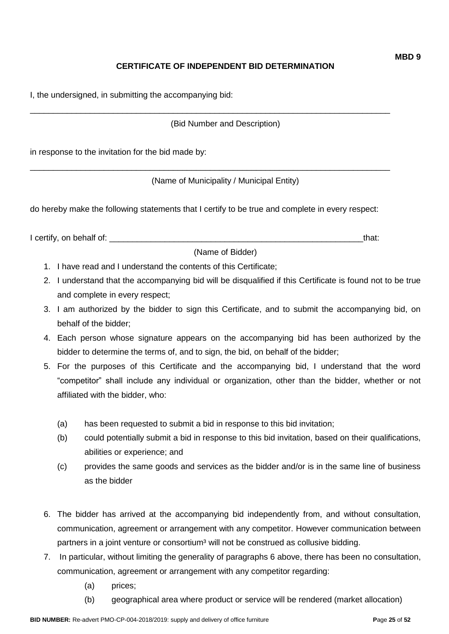# **CERTIFICATE OF INDEPENDENT BID DETERMINATION**

I, the undersigned, in submitting the accompanying bid:

(Bid Number and Description)

\_\_\_\_\_\_\_\_\_\_\_\_\_\_\_\_\_\_\_\_\_\_\_\_\_\_\_\_\_\_\_\_\_\_\_\_\_\_\_\_\_\_\_\_\_\_\_\_\_\_\_\_\_\_\_\_\_\_\_\_\_\_\_\_\_\_\_\_\_\_\_\_\_\_\_\_\_\_

\_\_\_\_\_\_\_\_\_\_\_\_\_\_\_\_\_\_\_\_\_\_\_\_\_\_\_\_\_\_\_\_\_\_\_\_\_\_\_\_\_\_\_\_\_\_\_\_\_\_\_\_\_\_\_\_\_\_\_\_\_\_\_\_\_\_\_\_\_\_\_\_\_\_\_\_\_\_

in response to the invitation for the bid made by:

(Name of Municipality / Municipal Entity)

do hereby make the following statements that I certify to be true and complete in every respect:

I certify, on behalf of: the state of the state of the state of the state of the state of the state of the stat

(Name of Bidder)

- 1. I have read and I understand the contents of this Certificate;
- 2. I understand that the accompanying bid will be disqualified if this Certificate is found not to be true and complete in every respect;
- 3. I am authorized by the bidder to sign this Certificate, and to submit the accompanying bid, on behalf of the bidder;
- 4. Each person whose signature appears on the accompanying bid has been authorized by the bidder to determine the terms of, and to sign, the bid, on behalf of the bidder;
- 5. For the purposes of this Certificate and the accompanying bid, I understand that the word "competitor" shall include any individual or organization, other than the bidder, whether or not affiliated with the bidder, who:
	- (a) has been requested to submit a bid in response to this bid invitation;
	- (b) could potentially submit a bid in response to this bid invitation, based on their qualifications, abilities or experience; and
	- (c) provides the same goods and services as the bidder and/or is in the same line of business as the bidder
- 6. The bidder has arrived at the accompanying bid independently from, and without consultation, communication, agreement or arrangement with any competitor. However communication between partners in a joint venture or consortium<sup>3</sup> will not be construed as collusive bidding.
- 7. In particular, without limiting the generality of paragraphs 6 above, there has been no consultation, communication, agreement or arrangement with any competitor regarding:
	- (a) prices;
	- (b) geographical area where product or service will be rendered (market allocation)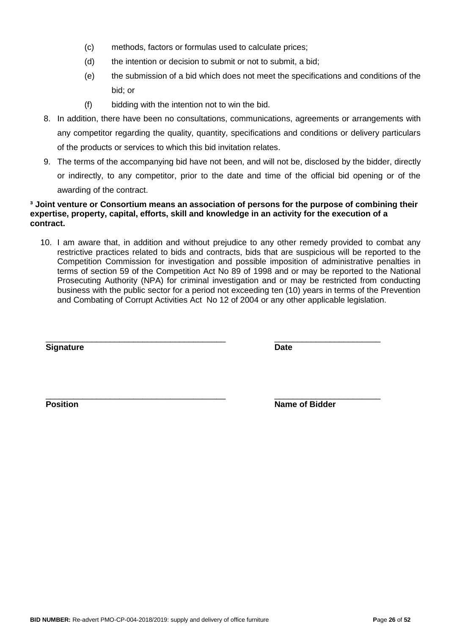- (c) methods, factors or formulas used to calculate prices;
- (d) the intention or decision to submit or not to submit, a bid;
- (e) the submission of a bid which does not meet the specifications and conditions of the bid; or
- (f) bidding with the intention not to win the bid.
- 8. In addition, there have been no consultations, communications, agreements or arrangements with any competitor regarding the quality, quantity, specifications and conditions or delivery particulars of the products or services to which this bid invitation relates.
- 9. The terms of the accompanying bid have not been, and will not be, disclosed by the bidder, directly or indirectly, to any competitor, prior to the date and time of the official bid opening or of the awarding of the contract.

### **³ Joint venture or Consortium means an association of persons for the purpose of combining their expertise, property, capital, efforts, skill and knowledge in an activity for the execution of a contract.**

10. I am aware that, in addition and without prejudice to any other remedy provided to combat any restrictive practices related to bids and contracts, bids that are suspicious will be reported to the Competition Commission for investigation and possible imposition of administrative penalties in terms of section 59 of the Competition Act No 89 of 1998 and or may be reported to the National Prosecuting Authority (NPA) for criminal investigation and or may be restricted from conducting business with the public sector for a period not exceeding ten (10) years in terms of the Prevention and Combating of Corrupt Activities Act No 12 of 2004 or any other applicable legislation.

\_\_\_\_\_\_\_\_\_\_\_\_\_\_\_\_\_\_\_\_\_\_\_\_\_\_\_\_\_\_\_\_\_\_\_\_\_\_\_ \_\_\_\_\_\_\_\_\_\_\_\_\_\_\_\_\_\_\_\_\_\_\_ **Signature Date**

\_\_\_\_\_\_\_\_\_\_\_\_\_\_\_\_\_\_\_\_\_\_\_\_\_\_\_\_\_\_\_\_\_\_\_\_\_\_\_ \_\_\_\_\_\_\_\_\_\_\_\_\_\_\_\_\_\_\_\_\_\_\_ **Position** Name of Bidder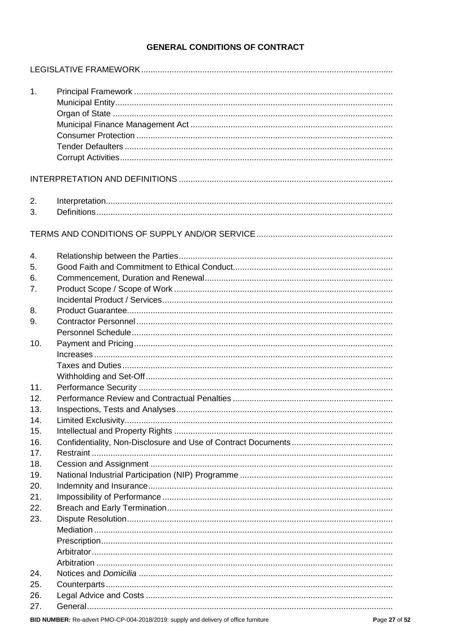# **GENERAL CONDITIONS OF CONTRACT**

| 1.  |  |
|-----|--|
|     |  |
|     |  |
|     |  |
|     |  |
|     |  |
|     |  |
| 2.  |  |
| 3.  |  |
|     |  |
| 4.  |  |
| 5.  |  |
| 6.  |  |
| 7.  |  |
|     |  |
| 8.  |  |
| 9.  |  |
|     |  |
| 10. |  |
|     |  |
|     |  |
|     |  |
| 11. |  |
| 12. |  |
| 13. |  |
| 14. |  |
| 15. |  |
| 16. |  |
| 17. |  |
| 18. |  |
| 19. |  |
| 20. |  |
| 21. |  |
| 22. |  |
| 23. |  |
|     |  |
|     |  |
|     |  |
|     |  |
| 24. |  |
| 25. |  |
| 26. |  |
| 27. |  |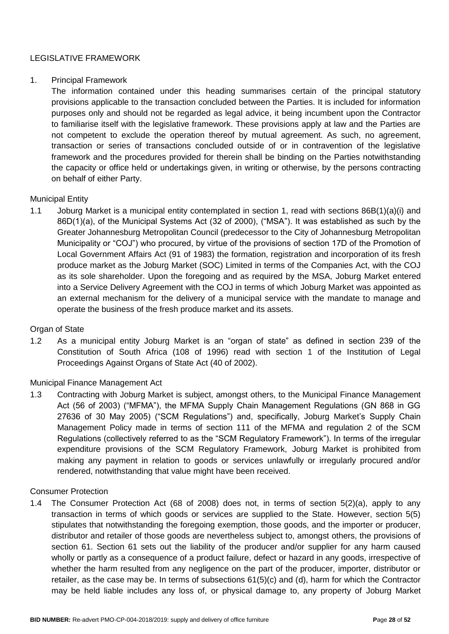# LEGISLATIVE FRAMEWORK

### 1. Principal Framework

The information contained under this heading summarises certain of the principal statutory provisions applicable to the transaction concluded between the Parties. It is included for information purposes only and should not be regarded as legal advice, it being incumbent upon the Contractor to familiarise itself with the legislative framework. These provisions apply at law and the Parties are not competent to exclude the operation thereof by mutual agreement. As such, no agreement, transaction or series of transactions concluded outside of or in contravention of the legislative framework and the procedures provided for therein shall be binding on the Parties notwithstanding the capacity or office held or undertakings given, in writing or otherwise, by the persons contracting on behalf of either Party.

### Municipal Entity

1.1 Joburg Market is a municipal entity contemplated in section 1, read with sections 86B(1)(a)(i) and 86D(1)(a), of the Municipal Systems Act (32 of 2000), ("MSA"). It was established as such by the Greater Johannesburg Metropolitan Council (predecessor to the City of Johannesburg Metropolitan Municipality or "COJ") who procured, by virtue of the provisions of section 17D of the Promotion of Local Government Affairs Act (91 of 1983) the formation, registration and incorporation of its fresh produce market as the Joburg Market (SOC) Limited in terms of the Companies Act, with the COJ as its sole shareholder. Upon the foregoing and as required by the MSA, Joburg Market entered into a Service Delivery Agreement with the COJ in terms of which Joburg Market was appointed as an external mechanism for the delivery of a municipal service with the mandate to manage and operate the business of the fresh produce market and its assets.

## Organ of State

1.2 As a municipal entity Joburg Market is an "organ of state" as defined in section 239 of the Constitution of South Africa (108 of 1996) read with section 1 of the Institution of Legal Proceedings Against Organs of State Act (40 of 2002).

## Municipal Finance Management Act

1.3 Contracting with Joburg Market is subject, amongst others, to the Municipal Finance Management Act (56 of 2003) ("MFMA"), the MFMA Supply Chain Management Regulations (GN 868 in GG 27636 of 30 May 2005) ("SCM Regulations") and, specifically, Joburg Market's Supply Chain Management Policy made in terms of section 111 of the MFMA and regulation 2 of the SCM Regulations (collectively referred to as the "SCM Regulatory Framework"). In terms of the irregular expenditure provisions of the SCM Regulatory Framework, Joburg Market is prohibited from making any payment in relation to goods or services unlawfully or irregularly procured and/or rendered, notwithstanding that value might have been received.

#### Consumer Protection

1.4 The Consumer Protection Act (68 of 2008) does not, in terms of section 5(2)(a), apply to any transaction in terms of which goods or services are supplied to the State. However, section 5(5) stipulates that notwithstanding the foregoing exemption, those goods, and the importer or producer, distributor and retailer of those goods are nevertheless subject to, amongst others, the provisions of section 61. Section 61 sets out the liability of the producer and/or supplier for any harm caused wholly or partly as a consequence of a product failure, defect or hazard in any goods, irrespective of whether the harm resulted from any negligence on the part of the producer, importer, distributor or retailer, as the case may be. In terms of subsections 61(5)(c) and (d), harm for which the Contractor may be held liable includes any loss of, or physical damage to, any property of Joburg Market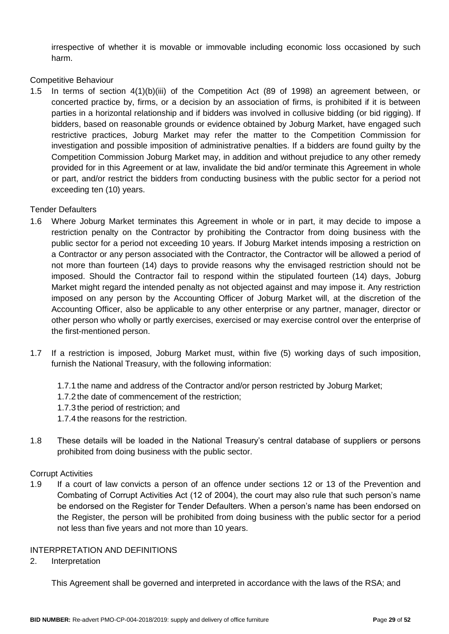irrespective of whether it is movable or immovable including economic loss occasioned by such harm.

# Competitive Behaviour

1.5 In terms of section 4(1)(b)(iii) of the Competition Act (89 of 1998) an agreement between, or concerted practice by, firms, or a decision by an association of firms, is prohibited if it is between parties in a horizontal relationship and if bidders was involved in collusive bidding (or bid rigging). If bidders, based on reasonable grounds or evidence obtained by Joburg Market, have engaged such restrictive practices, Joburg Market may refer the matter to the Competition Commission for investigation and possible imposition of administrative penalties. If a bidders are found guilty by the Competition Commission Joburg Market may, in addition and without prejudice to any other remedy provided for in this Agreement or at law, invalidate the bid and/or terminate this Agreement in whole or part, and/or restrict the bidders from conducting business with the public sector for a period not exceeding ten (10) years.

# Tender Defaulters

- 1.6 Where Joburg Market terminates this Agreement in whole or in part, it may decide to impose a restriction penalty on the Contractor by prohibiting the Contractor from doing business with the public sector for a period not exceeding 10 years. If Joburg Market intends imposing a restriction on a Contractor or any person associated with the Contractor, the Contractor will be allowed a period of not more than fourteen (14) days to provide reasons why the envisaged restriction should not be imposed. Should the Contractor fail to respond within the stipulated fourteen (14) days, Joburg Market might regard the intended penalty as not objected against and may impose it. Any restriction imposed on any person by the Accounting Officer of Joburg Market will, at the discretion of the Accounting Officer, also be applicable to any other enterprise or any partner, manager, director or other person who wholly or partly exercises, exercised or may exercise control over the enterprise of the first-mentioned person.
- 1.7 If a restriction is imposed, Joburg Market must, within five (5) working days of such imposition, furnish the National Treasury, with the following information:
	- 1.7.1 the name and address of the Contractor and/or person restricted by Joburg Market;
	- 1.7.2 the date of commencement of the restriction;
	- 1.7.3 the period of restriction; and
	- 1.7.4 the reasons for the restriction.
- 1.8 These details will be loaded in the National Treasury's central database of suppliers or persons prohibited from doing business with the public sector.

## Corrupt Activities

1.9 If a court of law convicts a person of an offence under sections 12 or 13 of the Prevention and Combating of Corrupt Activities Act (12 of 2004), the court may also rule that such person's name be endorsed on the Register for Tender Defaulters. When a person's name has been endorsed on the Register, the person will be prohibited from doing business with the public sector for a period not less than five years and not more than 10 years.

# INTERPRETATION AND DEFINITIONS

2. Interpretation

This Agreement shall be governed and interpreted in accordance with the laws of the RSA; and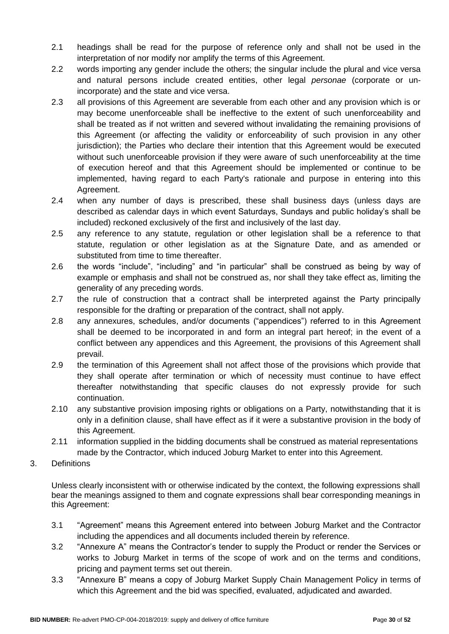- 2.1 headings shall be read for the purpose of reference only and shall not be used in the interpretation of nor modify nor amplify the terms of this Agreement.
- 2.2 words importing any gender include the others; the singular include the plural and vice versa and natural persons include created entities, other legal *personae* (corporate or unincorporate) and the state and vice versa.
- 2.3 all provisions of this Agreement are severable from each other and any provision which is or may become unenforceable shall be ineffective to the extent of such unenforceability and shall be treated as if not written and severed without invalidating the remaining provisions of this Agreement (or affecting the validity or enforceability of such provision in any other jurisdiction); the Parties who declare their intention that this Agreement would be executed without such unenforceable provision if they were aware of such unenforceability at the time of execution hereof and that this Agreement should be implemented or continue to be implemented, having regard to each Party's rationale and purpose in entering into this Agreement.
- 2.4 when any number of days is prescribed, these shall business days (unless days are described as calendar days in which event Saturdays, Sundays and public holiday's shall be included) reckoned exclusively of the first and inclusively of the last day.
- 2.5 any reference to any statute, regulation or other legislation shall be a reference to that statute, regulation or other legislation as at the Signature Date, and as amended or substituted from time to time thereafter.
- 2.6 the words "include", "including" and "in particular" shall be construed as being by way of example or emphasis and shall not be construed as, nor shall they take effect as, limiting the generality of any preceding words.
- 2.7 the rule of construction that a contract shall be interpreted against the Party principally responsible for the drafting or preparation of the contract, shall not apply.
- 2.8 any annexures, schedules, and/or documents ("appendices") referred to in this Agreement shall be deemed to be incorporated in and form an integral part hereof; in the event of a conflict between any appendices and this Agreement, the provisions of this Agreement shall prevail.
- 2.9 the termination of this Agreement shall not affect those of the provisions which provide that they shall operate after termination or which of necessity must continue to have effect thereafter notwithstanding that specific clauses do not expressly provide for such continuation.
- 2.10 any substantive provision imposing rights or obligations on a Party, notwithstanding that it is only in a definition clause, shall have effect as if it were a substantive provision in the body of this Agreement.
- 2.11 information supplied in the bidding documents shall be construed as material representations made by the Contractor, which induced Joburg Market to enter into this Agreement.
- 3. Definitions

Unless clearly inconsistent with or otherwise indicated by the context, the following expressions shall bear the meanings assigned to them and cognate expressions shall bear corresponding meanings in this Agreement:

- 3.1 "Agreement" means this Agreement entered into between Joburg Market and the Contractor including the appendices and all documents included therein by reference.
- 3.2 "Annexure A" means the Contractor's tender to supply the Product or render the Services or works to Joburg Market in terms of the scope of work and on the terms and conditions, pricing and payment terms set out therein.
- 3.3 "Annexure B" means a copy of Joburg Market Supply Chain Management Policy in terms of which this Agreement and the bid was specified, evaluated, adjudicated and awarded.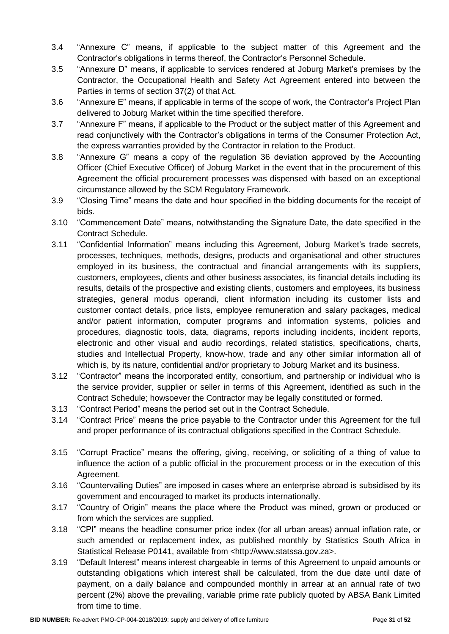- 3.4 "Annexure C" means, if applicable to the subject matter of this Agreement and the Contractor's obligations in terms thereof, the Contractor's Personnel Schedule.
- 3.5 "Annexure D" means, if applicable to services rendered at Joburg Market's premises by the Contractor, the Occupational Health and Safety Act Agreement entered into between the Parties in terms of section 37(2) of that Act.
- 3.6 "Annexure E" means, if applicable in terms of the scope of work, the Contractor's Project Plan delivered to Joburg Market within the time specified therefore.
- 3.7 "Annexure F" means, if applicable to the Product or the subject matter of this Agreement and read conjunctively with the Contractor's obligations in terms of the Consumer Protection Act, the express warranties provided by the Contractor in relation to the Product.
- 3.8 "Annexure G" means a copy of the regulation 36 deviation approved by the Accounting Officer (Chief Executive Officer) of Joburg Market in the event that in the procurement of this Agreement the official procurement processes was dispensed with based on an exceptional circumstance allowed by the SCM Regulatory Framework.
- 3.9 "Closing Time" means the date and hour specified in the bidding documents for the receipt of bids.
- 3.10 "Commencement Date" means, notwithstanding the Signature Date, the date specified in the Contract Schedule.
- 3.11 "Confidential Information" means including this Agreement, Joburg Market's trade secrets, processes, techniques, methods, designs, products and organisational and other structures employed in its business, the contractual and financial arrangements with its suppliers, customers, employees, clients and other business associates, its financial details including its results, details of the prospective and existing clients, customers and employees, its business strategies, general modus operandi, client information including its customer lists and customer contact details, price lists, employee remuneration and salary packages, medical and/or patient information, computer programs and information systems, policies and procedures, diagnostic tools, data, diagrams, reports including incidents, incident reports, electronic and other visual and audio recordings, related statistics, specifications, charts, studies and Intellectual Property, know-how, trade and any other similar information all of which is, by its nature, confidential and/or proprietary to Joburg Market and its business.
- 3.12 "Contractor" means the incorporated entity, consortium, and partnership or individual who is the service provider, supplier or seller in terms of this Agreement, identified as such in the Contract Schedule; howsoever the Contractor may be legally constituted or formed.
- 3.13 "Contract Period" means the period set out in the Contract Schedule.
- 3.14 "Contract Price" means the price payable to the Contractor under this Agreement for the full and proper performance of its contractual obligations specified in the Contract Schedule.
- 3.15 "Corrupt Practice" means the offering, giving, receiving, or soliciting of a thing of value to influence the action of a public official in the procurement process or in the execution of this Agreement.
- 3.16 "Countervailing Duties" are imposed in cases where an enterprise abroad is subsidised by its government and encouraged to market its products internationally.
- 3.17 "Country of Origin" means the place where the Product was mined, grown or produced or from which the services are supplied.
- 3.18 "CPI" means the headline consumer price index (for all urban areas) annual inflation rate, or such amended or replacement index, as published monthly by Statistics South Africa in Statistical Release P0141, available from <http://www.statssa.gov.za>.
- 3.19 "Default Interest" means interest chargeable in terms of this Agreement to unpaid amounts or outstanding obligations which interest shall be calculated, from the due date until date of payment, on a daily balance and compounded monthly in arrear at an annual rate of two percent (2%) above the prevailing, variable prime rate publicly quoted by ABSA Bank Limited from time to time.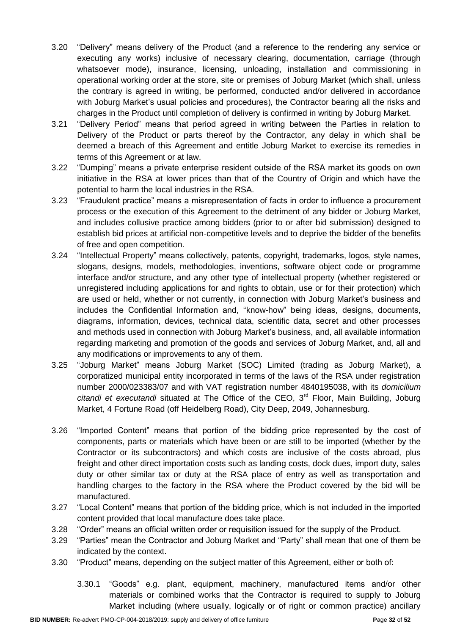- 3.20 "Delivery" means delivery of the Product (and a reference to the rendering any service or executing any works) inclusive of necessary clearing, documentation, carriage (through whatsoever mode), insurance, licensing, unloading, installation and commissioning in operational working order at the store, site or premises of Joburg Market (which shall, unless the contrary is agreed in writing, be performed, conducted and/or delivered in accordance with Joburg Market's usual policies and procedures), the Contractor bearing all the risks and charges in the Product until completion of delivery is confirmed in writing by Joburg Market.
- 3.21 "Delivery Period" means that period agreed in writing between the Parties in relation to Delivery of the Product or parts thereof by the Contractor, any delay in which shall be deemed a breach of this Agreement and entitle Joburg Market to exercise its remedies in terms of this Agreement or at law.
- 3.22 "Dumping" means a private enterprise resident outside of the RSA market its goods on own initiative in the RSA at lower prices than that of the Country of Origin and which have the potential to harm the local industries in the RSA.
- 3.23 "Fraudulent practice" means a misrepresentation of facts in order to influence a procurement process or the execution of this Agreement to the detriment of any bidder or Joburg Market, and includes collusive practice among bidders (prior to or after bid submission) designed to establish bid prices at artificial non-competitive levels and to deprive the bidder of the benefits of free and open competition.
- 3.24 "Intellectual Property" means collectively, patents, copyright, trademarks, logos, style names, slogans, designs, models, methodologies, inventions, software object code or programme interface and/or structure, and any other type of intellectual property (whether registered or unregistered including applications for and rights to obtain, use or for their protection) which are used or held, whether or not currently, in connection with Joburg Market's business and includes the Confidential Information and, "know-how" being ideas, designs, documents, diagrams, information, devices, technical data, scientific data, secret and other processes and methods used in connection with Joburg Market's business, and, all available information regarding marketing and promotion of the goods and services of Joburg Market, and, all and any modifications or improvements to any of them.
- 3.25 "Joburg Market" means Joburg Market (SOC) Limited (trading as Joburg Market), a corporatized municipal entity incorporated in terms of the laws of the RSA under registration number 2000/023383/07 and with VAT registration number 4840195038, with its *domicilium*  citandi et executandi situated at The Office of the CEO, 3<sup>rd</sup> Floor, Main Building, Joburg Market, 4 Fortune Road (off Heidelberg Road), City Deep, 2049, Johannesburg.
- 3.26 "Imported Content" means that portion of the bidding price represented by the cost of components, parts or materials which have been or are still to be imported (whether by the Contractor or its subcontractors) and which costs are inclusive of the costs abroad, plus freight and other direct importation costs such as landing costs, dock dues, import duty, sales duty or other similar tax or duty at the RSA place of entry as well as transportation and handling charges to the factory in the RSA where the Product covered by the bid will be manufactured.
- 3.27 "Local Content" means that portion of the bidding price, which is not included in the imported content provided that local manufacture does take place.
- 3.28 "Order" means an official written order or requisition issued for the supply of the Product.
- 3.29 "Parties" mean the Contractor and Joburg Market and "Party" shall mean that one of them be indicated by the context.
- 3.30 "Product" means, depending on the subject matter of this Agreement, either or both of:
	- 3.30.1 "Goods" e.g. plant, equipment, machinery, manufactured items and/or other materials or combined works that the Contractor is required to supply to Joburg Market including (where usually, logically or of right or common practice) ancillary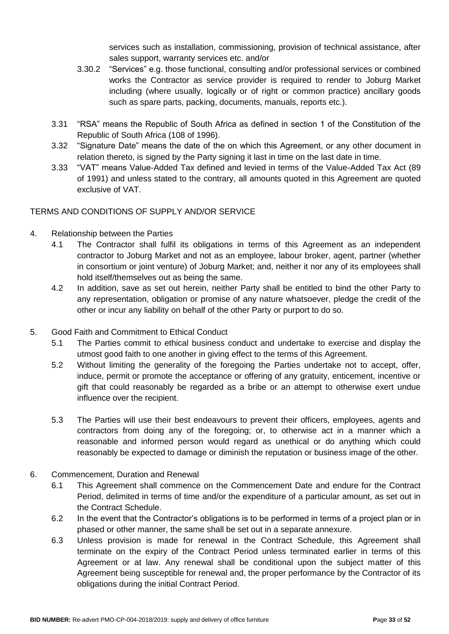services such as installation, commissioning, provision of technical assistance, after sales support, warranty services etc. and/or

- 3.30.2 "Services" e.g. those functional, consulting and/or professional services or combined works the Contractor as service provider is required to render to Joburg Market including (where usually, logically or of right or common practice) ancillary goods such as spare parts, packing, documents, manuals, reports etc.).
- 3.31 "RSA" means the Republic of South Africa as defined in section 1 of the Constitution of the Republic of South Africa (108 of 1996).
- 3.32 "Signature Date" means the date of the on which this Agreement, or any other document in relation thereto, is signed by the Party signing it last in time on the last date in time.
- 3.33 "VAT" means Value-Added Tax defined and levied in terms of the Value-Added Tax Act (89 of 1991) and unless stated to the contrary, all amounts quoted in this Agreement are quoted exclusive of VAT.

# TERMS AND CONDITIONS OF SUPPLY AND/OR SERVICE

- 4. Relationship between the Parties
	- 4.1 The Contractor shall fulfil its obligations in terms of this Agreement as an independent contractor to Joburg Market and not as an employee, labour broker, agent, partner (whether in consortium or joint venture) of Joburg Market; and, neither it nor any of its employees shall hold itself/themselves out as being the same.
	- 4.2 In addition, save as set out herein, neither Party shall be entitled to bind the other Party to any representation, obligation or promise of any nature whatsoever, pledge the credit of the other or incur any liability on behalf of the other Party or purport to do so.
- 5. Good Faith and Commitment to Ethical Conduct
	- 5.1 The Parties commit to ethical business conduct and undertake to exercise and display the utmost good faith to one another in giving effect to the terms of this Agreement.
	- 5.2 Without limiting the generality of the foregoing the Parties undertake not to accept, offer, induce, permit or promote the acceptance or offering of any gratuity, enticement, incentive or gift that could reasonably be regarded as a bribe or an attempt to otherwise exert undue influence over the recipient.
	- 5.3 The Parties will use their best endeavours to prevent their officers, employees, agents and contractors from doing any of the foregoing; or, to otherwise act in a manner which a reasonable and informed person would regard as unethical or do anything which could reasonably be expected to damage or diminish the reputation or business image of the other.
- 6. Commencement, Duration and Renewal
	- 6.1 This Agreement shall commence on the Commencement Date and endure for the Contract Period, delimited in terms of time and/or the expenditure of a particular amount, as set out in the Contract Schedule.
	- 6.2 In the event that the Contractor's obligations is to be performed in terms of a project plan or in phased or other manner, the same shall be set out in a separate annexure.
	- 6.3 Unless provision is made for renewal in the Contract Schedule, this Agreement shall terminate on the expiry of the Contract Period unless terminated earlier in terms of this Agreement or at law. Any renewal shall be conditional upon the subject matter of this Agreement being susceptible for renewal and, the proper performance by the Contractor of its obligations during the initial Contract Period.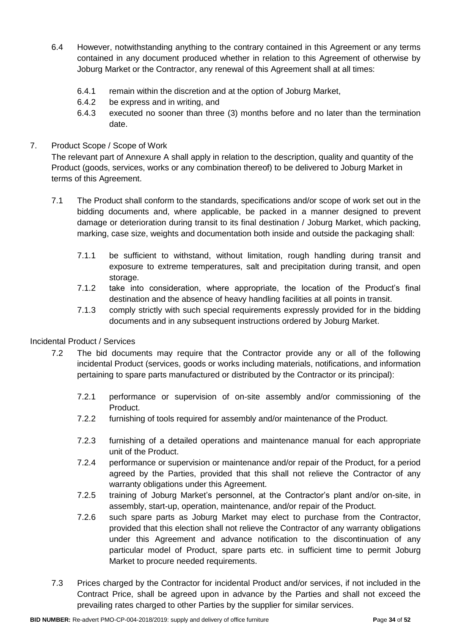- 6.4 However, notwithstanding anything to the contrary contained in this Agreement or any terms contained in any document produced whether in relation to this Agreement of otherwise by Joburg Market or the Contractor, any renewal of this Agreement shall at all times:
	- 6.4.1 remain within the discretion and at the option of Joburg Market,
	- 6.4.2 be express and in writing, and
	- 6.4.3 executed no sooner than three (3) months before and no later than the termination date.

# 7. Product Scope / Scope of Work

The relevant part of Annexure A shall apply in relation to the description, quality and quantity of the Product (goods, services, works or any combination thereof) to be delivered to Joburg Market in terms of this Agreement.

- 7.1 The Product shall conform to the standards, specifications and/or scope of work set out in the bidding documents and, where applicable, be packed in a manner designed to prevent damage or deterioration during transit to its final destination / Joburg Market, which packing, marking, case size, weights and documentation both inside and outside the packaging shall:
	- 7.1.1 be sufficient to withstand, without limitation, rough handling during transit and exposure to extreme temperatures, salt and precipitation during transit, and open storage.
	- 7.1.2 take into consideration, where appropriate, the location of the Product's final destination and the absence of heavy handling facilities at all points in transit.
	- 7.1.3 comply strictly with such special requirements expressly provided for in the bidding documents and in any subsequent instructions ordered by Joburg Market.

# Incidental Product / Services

- 7.2 The bid documents may require that the Contractor provide any or all of the following incidental Product (services, goods or works including materials, notifications, and information pertaining to spare parts manufactured or distributed by the Contractor or its principal):
	- 7.2.1 performance or supervision of on-site assembly and/or commissioning of the Product.
	- 7.2.2 furnishing of tools required for assembly and/or maintenance of the Product.
	- 7.2.3 furnishing of a detailed operations and maintenance manual for each appropriate unit of the Product.
	- 7.2.4 performance or supervision or maintenance and/or repair of the Product, for a period agreed by the Parties, provided that this shall not relieve the Contractor of any warranty obligations under this Agreement.
	- 7.2.5 training of Joburg Market's personnel, at the Contractor's plant and/or on-site, in assembly, start-up, operation, maintenance, and/or repair of the Product.
	- 7.2.6 such spare parts as Joburg Market may elect to purchase from the Contractor, provided that this election shall not relieve the Contractor of any warranty obligations under this Agreement and advance notification to the discontinuation of any particular model of Product, spare parts etc. in sufficient time to permit Joburg Market to procure needed requirements.
- 7.3 Prices charged by the Contractor for incidental Product and/or services, if not included in the Contract Price, shall be agreed upon in advance by the Parties and shall not exceed the prevailing rates charged to other Parties by the supplier for similar services.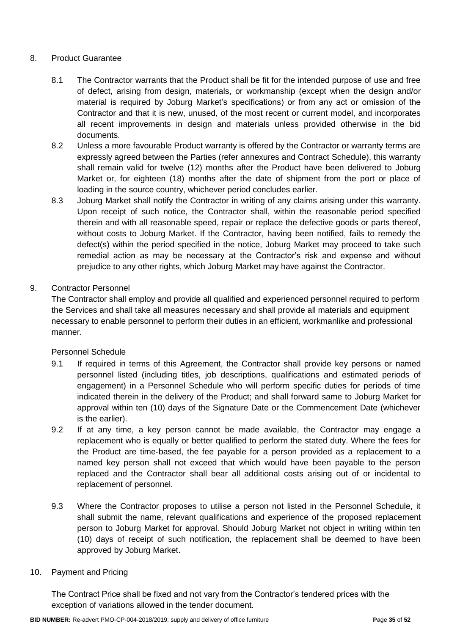# 8. Product Guarantee

- 8.1 The Contractor warrants that the Product shall be fit for the intended purpose of use and free of defect, arising from design, materials, or workmanship (except when the design and/or material is required by Joburg Market's specifications) or from any act or omission of the Contractor and that it is new, unused, of the most recent or current model, and incorporates all recent improvements in design and materials unless provided otherwise in the bid documents.
- 8.2 Unless a more favourable Product warranty is offered by the Contractor or warranty terms are expressly agreed between the Parties (refer annexures and Contract Schedule), this warranty shall remain valid for twelve (12) months after the Product have been delivered to Joburg Market or, for eighteen (18) months after the date of shipment from the port or place of loading in the source country, whichever period concludes earlier.
- 8.3 Joburg Market shall notify the Contractor in writing of any claims arising under this warranty. Upon receipt of such notice, the Contractor shall, within the reasonable period specified therein and with all reasonable speed, repair or replace the defective goods or parts thereof, without costs to Joburg Market. If the Contractor, having been notified, fails to remedy the defect(s) within the period specified in the notice, Joburg Market may proceed to take such remedial action as may be necessary at the Contractor's risk and expense and without prejudice to any other rights, which Joburg Market may have against the Contractor.

# 9. Contractor Personnel

The Contractor shall employ and provide all qualified and experienced personnel required to perform the Services and shall take all measures necessary and shall provide all materials and equipment necessary to enable personnel to perform their duties in an efficient, workmanlike and professional manner.

## Personnel Schedule

- 9.1 If required in terms of this Agreement, the Contractor shall provide key persons or named personnel listed (including titles, job descriptions, qualifications and estimated periods of engagement) in a Personnel Schedule who will perform specific duties for periods of time indicated therein in the delivery of the Product; and shall forward same to Joburg Market for approval within ten (10) days of the Signature Date or the Commencement Date (whichever is the earlier).
- 9.2 If at any time, a key person cannot be made available, the Contractor may engage a replacement who is equally or better qualified to perform the stated duty. Where the fees for the Product are time-based, the fee payable for a person provided as a replacement to a named key person shall not exceed that which would have been payable to the person replaced and the Contractor shall bear all additional costs arising out of or incidental to replacement of personnel.
- 9.3 Where the Contractor proposes to utilise a person not listed in the Personnel Schedule, it shall submit the name, relevant qualifications and experience of the proposed replacement person to Joburg Market for approval. Should Joburg Market not object in writing within ten (10) days of receipt of such notification, the replacement shall be deemed to have been approved by Joburg Market.

## 10. Payment and Pricing

The Contract Price shall be fixed and not vary from the Contractor's tendered prices with the exception of variations allowed in the tender document.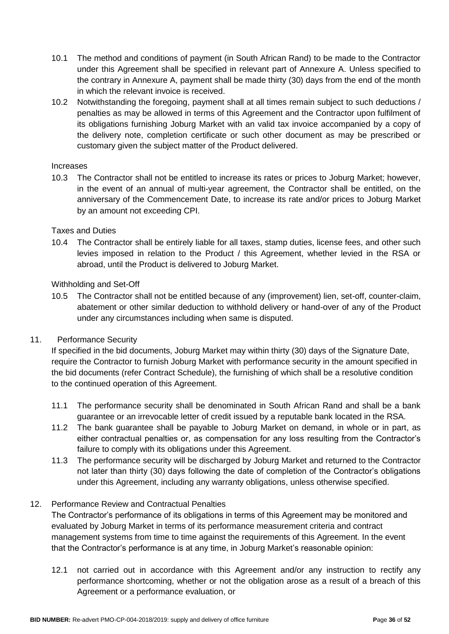- 10.1 The method and conditions of payment (in South African Rand) to be made to the Contractor under this Agreement shall be specified in relevant part of Annexure A. Unless specified to the contrary in Annexure A, payment shall be made thirty (30) days from the end of the month in which the relevant invoice is received.
- 10.2 Notwithstanding the foregoing, payment shall at all times remain subject to such deductions / penalties as may be allowed in terms of this Agreement and the Contractor upon fulfilment of its obligations furnishing Joburg Market with an valid tax invoice accompanied by a copy of the delivery note, completion certificate or such other document as may be prescribed or customary given the subject matter of the Product delivered.

### Increases

10.3 The Contractor shall not be entitled to increase its rates or prices to Joburg Market; however, in the event of an annual of multi-year agreement, the Contractor shall be entitled, on the anniversary of the Commencement Date, to increase its rate and/or prices to Joburg Market by an amount not exceeding CPI.

### Taxes and Duties

10.4 The Contractor shall be entirely liable for all taxes, stamp duties, license fees, and other such levies imposed in relation to the Product / this Agreement, whether levied in the RSA or abroad, until the Product is delivered to Joburg Market.

### Withholding and Set-Off

10.5 The Contractor shall not be entitled because of any (improvement) lien, set-off, counter-claim, abatement or other similar deduction to withhold delivery or hand-over of any of the Product under any circumstances including when same is disputed.

## 11. Performance Security

If specified in the bid documents, Joburg Market may within thirty (30) days of the Signature Date, require the Contractor to furnish Joburg Market with performance security in the amount specified in the bid documents (refer Contract Schedule), the furnishing of which shall be a resolutive condition to the continued operation of this Agreement.

- 11.1 The performance security shall be denominated in South African Rand and shall be a bank guarantee or an irrevocable letter of credit issued by a reputable bank located in the RSA.
- 11.2 The bank guarantee shall be payable to Joburg Market on demand, in whole or in part, as either contractual penalties or, as compensation for any loss resulting from the Contractor's failure to comply with its obligations under this Agreement.
- 11.3 The performance security will be discharged by Joburg Market and returned to the Contractor not later than thirty (30) days following the date of completion of the Contractor's obligations under this Agreement, including any warranty obligations, unless otherwise specified.

## 12. Performance Review and Contractual Penalties

The Contractor's performance of its obligations in terms of this Agreement may be monitored and evaluated by Joburg Market in terms of its performance measurement criteria and contract management systems from time to time against the requirements of this Agreement. In the event that the Contractor's performance is at any time, in Joburg Market's reasonable opinion:

12.1 not carried out in accordance with this Agreement and/or any instruction to rectify any performance shortcoming, whether or not the obligation arose as a result of a breach of this Agreement or a performance evaluation, or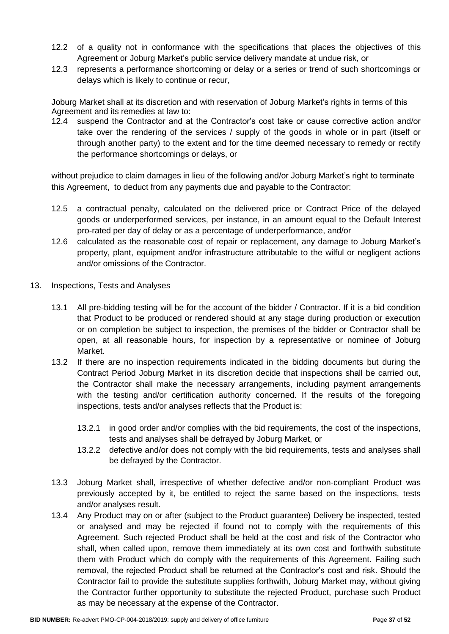- 12.2 of a quality not in conformance with the specifications that places the objectives of this Agreement or Joburg Market's public service delivery mandate at undue risk, or
- 12.3 represents a performance shortcoming or delay or a series or trend of such shortcomings or delays which is likely to continue or recur,

Joburg Market shall at its discretion and with reservation of Joburg Market's rights in terms of this Agreement and its remedies at law to:

12.4 suspend the Contractor and at the Contractor's cost take or cause corrective action and/or take over the rendering of the services / supply of the goods in whole or in part (itself or through another party) to the extent and for the time deemed necessary to remedy or rectify the performance shortcomings or delays, or

without prejudice to claim damages in lieu of the following and/or Joburg Market's right to terminate this Agreement, to deduct from any payments due and payable to the Contractor:

- 12.5 a contractual penalty, calculated on the delivered price or Contract Price of the delayed goods or underperformed services, per instance, in an amount equal to the Default Interest pro-rated per day of delay or as a percentage of underperformance, and/or
- 12.6 calculated as the reasonable cost of repair or replacement, any damage to Joburg Market's property, plant, equipment and/or infrastructure attributable to the wilful or negligent actions and/or omissions of the Contractor.
- 13. Inspections, Tests and Analyses
	- 13.1 All pre-bidding testing will be for the account of the bidder / Contractor. If it is a bid condition that Product to be produced or rendered should at any stage during production or execution or on completion be subject to inspection, the premises of the bidder or Contractor shall be open, at all reasonable hours, for inspection by a representative or nominee of Joburg Market.
	- 13.2 If there are no inspection requirements indicated in the bidding documents but during the Contract Period Joburg Market in its discretion decide that inspections shall be carried out, the Contractor shall make the necessary arrangements, including payment arrangements with the testing and/or certification authority concerned. If the results of the foregoing inspections, tests and/or analyses reflects that the Product is:
		- 13.2.1 in good order and/or complies with the bid requirements, the cost of the inspections, tests and analyses shall be defrayed by Joburg Market, or
		- 13.2.2 defective and/or does not comply with the bid requirements, tests and analyses shall be defrayed by the Contractor.
	- 13.3 Joburg Market shall, irrespective of whether defective and/or non-compliant Product was previously accepted by it, be entitled to reject the same based on the inspections, tests and/or analyses result.
	- 13.4 Any Product may on or after (subject to the Product guarantee) Delivery be inspected, tested or analysed and may be rejected if found not to comply with the requirements of this Agreement. Such rejected Product shall be held at the cost and risk of the Contractor who shall, when called upon, remove them immediately at its own cost and forthwith substitute them with Product which do comply with the requirements of this Agreement. Failing such removal, the rejected Product shall be returned at the Contractor's cost and risk. Should the Contractor fail to provide the substitute supplies forthwith, Joburg Market may, without giving the Contractor further opportunity to substitute the rejected Product, purchase such Product as may be necessary at the expense of the Contractor.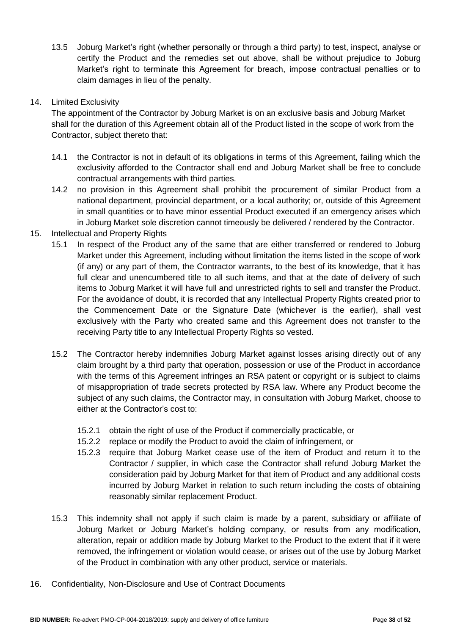13.5 Joburg Market's right (whether personally or through a third party) to test, inspect, analyse or certify the Product and the remedies set out above, shall be without prejudice to Joburg Market's right to terminate this Agreement for breach, impose contractual penalties or to claim damages in lieu of the penalty.

# 14. Limited Exclusivity

The appointment of the Contractor by Joburg Market is on an exclusive basis and Joburg Market shall for the duration of this Agreement obtain all of the Product listed in the scope of work from the Contractor, subject thereto that:

- 14.1 the Contractor is not in default of its obligations in terms of this Agreement, failing which the exclusivity afforded to the Contractor shall end and Joburg Market shall be free to conclude contractual arrangements with third parties.
- 14.2 no provision in this Agreement shall prohibit the procurement of similar Product from a national department, provincial department, or a local authority; or, outside of this Agreement in small quantities or to have minor essential Product executed if an emergency arises which in Joburg Market sole discretion cannot timeously be delivered / rendered by the Contractor.
- 15. Intellectual and Property Rights
	- 15.1 In respect of the Product any of the same that are either transferred or rendered to Joburg Market under this Agreement, including without limitation the items listed in the scope of work (if any) or any part of them, the Contractor warrants, to the best of its knowledge, that it has full clear and unencumbered title to all such items, and that at the date of delivery of such items to Joburg Market it will have full and unrestricted rights to sell and transfer the Product. For the avoidance of doubt, it is recorded that any Intellectual Property Rights created prior to the Commencement Date or the Signature Date (whichever is the earlier), shall vest exclusively with the Party who created same and this Agreement does not transfer to the receiving Party title to any Intellectual Property Rights so vested.
	- 15.2 The Contractor hereby indemnifies Joburg Market against losses arising directly out of any claim brought by a third party that operation, possession or use of the Product in accordance with the terms of this Agreement infringes an RSA patent or copyright or is subject to claims of misappropriation of trade secrets protected by RSA law. Where any Product become the subject of any such claims, the Contractor may, in consultation with Joburg Market, choose to either at the Contractor's cost to:
		- 15.2.1 obtain the right of use of the Product if commercially practicable, or
		- 15.2.2 replace or modify the Product to avoid the claim of infringement, or
		- 15.2.3 require that Joburg Market cease use of the item of Product and return it to the Contractor / supplier, in which case the Contractor shall refund Joburg Market the consideration paid by Joburg Market for that item of Product and any additional costs incurred by Joburg Market in relation to such return including the costs of obtaining reasonably similar replacement Product.
	- 15.3 This indemnity shall not apply if such claim is made by a parent, subsidiary or affiliate of Joburg Market or Joburg Market's holding company, or results from any modification, alteration, repair or addition made by Joburg Market to the Product to the extent that if it were removed, the infringement or violation would cease, or arises out of the use by Joburg Market of the Product in combination with any other product, service or materials.
- 16. Confidentiality, Non-Disclosure and Use of Contract Documents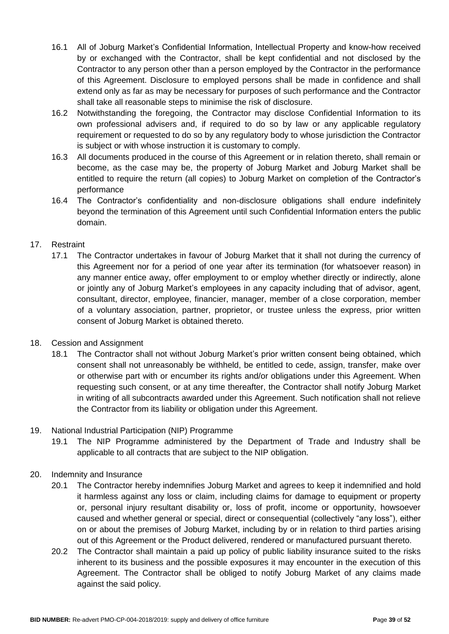- 16.1 All of Joburg Market's Confidential Information, Intellectual Property and know-how received by or exchanged with the Contractor, shall be kept confidential and not disclosed by the Contractor to any person other than a person employed by the Contractor in the performance of this Agreement. Disclosure to employed persons shall be made in confidence and shall extend only as far as may be necessary for purposes of such performance and the Contractor shall take all reasonable steps to minimise the risk of disclosure.
- 16.2 Notwithstanding the foregoing, the Contractor may disclose Confidential Information to its own professional advisers and, if required to do so by law or any applicable regulatory requirement or requested to do so by any regulatory body to whose jurisdiction the Contractor is subject or with whose instruction it is customary to comply.
- 16.3 All documents produced in the course of this Agreement or in relation thereto, shall remain or become, as the case may be, the property of Joburg Market and Joburg Market shall be entitled to require the return (all copies) to Joburg Market on completion of the Contractor's performance
- 16.4 The Contractor's confidentiality and non-disclosure obligations shall endure indefinitely beyond the termination of this Agreement until such Confidential Information enters the public domain.

# 17. Restraint

- 17.1 The Contractor undertakes in favour of Joburg Market that it shall not during the currency of this Agreement nor for a period of one year after its termination (for whatsoever reason) in any manner entice away, offer employment to or employ whether directly or indirectly, alone or jointly any of Joburg Market's employees in any capacity including that of advisor, agent, consultant, director, employee, financier, manager, member of a close corporation, member of a voluntary association, partner, proprietor, or trustee unless the express, prior written consent of Joburg Market is obtained thereto.
- 18. Cession and Assignment
	- 18.1 The Contractor shall not without Joburg Market's prior written consent being obtained, which consent shall not unreasonably be withheld, be entitled to cede, assign, transfer, make over or otherwise part with or encumber its rights and/or obligations under this Agreement. When requesting such consent, or at any time thereafter, the Contractor shall notify Joburg Market in writing of all subcontracts awarded under this Agreement. Such notification shall not relieve the Contractor from its liability or obligation under this Agreement.
- 19. National Industrial Participation (NIP) Programme
	- 19.1 The NIP Programme administered by the Department of Trade and Industry shall be applicable to all contracts that are subject to the NIP obligation.
- 20. Indemnity and Insurance
	- 20.1 The Contractor hereby indemnifies Joburg Market and agrees to keep it indemnified and hold it harmless against any loss or claim, including claims for damage to equipment or property or, personal injury resultant disability or, loss of profit, income or opportunity, howsoever caused and whether general or special, direct or consequential (collectively "any loss"), either on or about the premises of Joburg Market, including by or in relation to third parties arising out of this Agreement or the Product delivered, rendered or manufactured pursuant thereto.
	- 20.2 The Contractor shall maintain a paid up policy of public liability insurance suited to the risks inherent to its business and the possible exposures it may encounter in the execution of this Agreement. The Contractor shall be obliged to notify Joburg Market of any claims made against the said policy.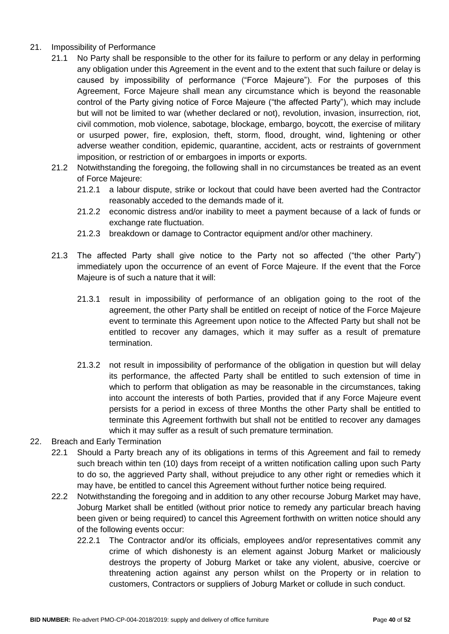- 21. Impossibility of Performance
	- 21.1 No Party shall be responsible to the other for its failure to perform or any delay in performing any obligation under this Agreement in the event and to the extent that such failure or delay is caused by impossibility of performance ("Force Majeure"). For the purposes of this Agreement, Force Majeure shall mean any circumstance which is beyond the reasonable control of the Party giving notice of Force Majeure ("the affected Party"), which may include but will not be limited to war (whether declared or not), revolution, invasion, insurrection, riot, civil commotion, mob violence, sabotage, blockage, embargo, boycott, the exercise of military or usurped power, fire, explosion, theft, storm, flood, drought, wind, lightening or other adverse weather condition, epidemic, quarantine, accident, acts or restraints of government imposition, or restriction of or embargoes in imports or exports.
	- 21.2 Notwithstanding the foregoing, the following shall in no circumstances be treated as an event of Force Majeure:
		- 21.2.1 a labour dispute, strike or lockout that could have been averted had the Contractor reasonably acceded to the demands made of it.
		- 21.2.2 economic distress and/or inability to meet a payment because of a lack of funds or exchange rate fluctuation.
		- 21.2.3 breakdown or damage to Contractor equipment and/or other machinery.
	- 21.3 The affected Party shall give notice to the Party not so affected ("the other Party") immediately upon the occurrence of an event of Force Majeure. If the event that the Force Majeure is of such a nature that it will:
		- 21.3.1 result in impossibility of performance of an obligation going to the root of the agreement, the other Party shall be entitled on receipt of notice of the Force Majeure event to terminate this Agreement upon notice to the Affected Party but shall not be entitled to recover any damages, which it may suffer as a result of premature termination.
		- 21.3.2 not result in impossibility of performance of the obligation in question but will delay its performance, the affected Party shall be entitled to such extension of time in which to perform that obligation as may be reasonable in the circumstances, taking into account the interests of both Parties, provided that if any Force Majeure event persists for a period in excess of three Months the other Party shall be entitled to terminate this Agreement forthwith but shall not be entitled to recover any damages which it may suffer as a result of such premature termination.
- 22. Breach and Early Termination
	- 22.1 Should a Party breach any of its obligations in terms of this Agreement and fail to remedy such breach within ten (10) days from receipt of a written notification calling upon such Party to do so, the aggrieved Party shall, without prejudice to any other right or remedies which it may have, be entitled to cancel this Agreement without further notice being required.
	- 22.2 Notwithstanding the foregoing and in addition to any other recourse Joburg Market may have, Joburg Market shall be entitled (without prior notice to remedy any particular breach having been given or being required) to cancel this Agreement forthwith on written notice should any of the following events occur:
		- 22.2.1 The Contractor and/or its officials, employees and/or representatives commit any crime of which dishonesty is an element against Joburg Market or maliciously destroys the property of Joburg Market or take any violent, abusive, coercive or threatening action against any person whilst on the Property or in relation to customers, Contractors or suppliers of Joburg Market or collude in such conduct.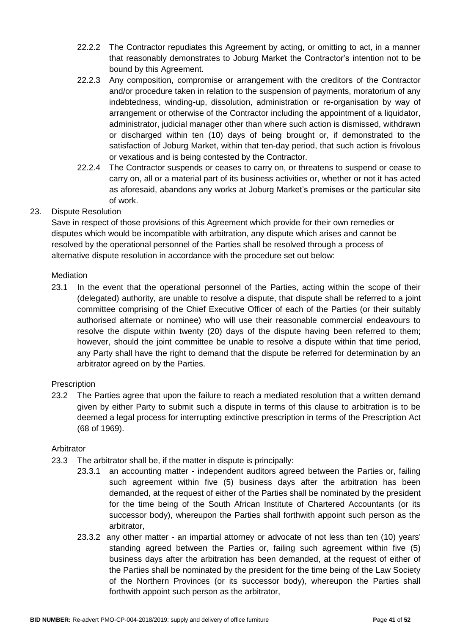- 22.2.2 The Contractor repudiates this Agreement by acting, or omitting to act, in a manner that reasonably demonstrates to Joburg Market the Contractor's intention not to be bound by this Agreement.
- 22.2.3 Any composition, compromise or arrangement with the creditors of the Contractor and/or procedure taken in relation to the suspension of payments, moratorium of any indebtedness, winding-up, dissolution, administration or re-organisation by way of arrangement or otherwise of the Contractor including the appointment of a liquidator, administrator, judicial manager other than where such action is dismissed, withdrawn or discharged within ten (10) days of being brought or, if demonstrated to the satisfaction of Joburg Market, within that ten-day period, that such action is frivolous or vexatious and is being contested by the Contractor.
- 22.2.4 The Contractor suspends or ceases to carry on, or threatens to suspend or cease to carry on, all or a material part of its business activities or, whether or not it has acted as aforesaid, abandons any works at Joburg Market's premises or the particular site of work.

# 23. Dispute Resolution

Save in respect of those provisions of this Agreement which provide for their own remedies or disputes which would be incompatible with arbitration, any dispute which arises and cannot be resolved by the operational personnel of the Parties shall be resolved through a process of alternative dispute resolution in accordance with the procedure set out below:

# Mediation

23.1 In the event that the operational personnel of the Parties, acting within the scope of their (delegated) authority, are unable to resolve a dispute, that dispute shall be referred to a joint committee comprising of the Chief Executive Officer of each of the Parties (or their suitably authorised alternate or nominee) who will use their reasonable commercial endeavours to resolve the dispute within twenty (20) days of the dispute having been referred to them; however, should the joint committee be unable to resolve a dispute within that time period, any Party shall have the right to demand that the dispute be referred for determination by an arbitrator agreed on by the Parties.

# **Prescription**

23.2 The Parties agree that upon the failure to reach a mediated resolution that a written demand given by either Party to submit such a dispute in terms of this clause to arbitration is to be deemed a legal process for interrupting extinctive prescription in terms of the Prescription Act (68 of 1969).

# Arbitrator

- 23.3 The arbitrator shall be, if the matter in dispute is principally:
	- 23.3.1 an accounting matter independent auditors agreed between the Parties or, failing such agreement within five (5) business days after the arbitration has been demanded, at the request of either of the Parties shall be nominated by the president for the time being of the South African Institute of Chartered Accountants (or its successor body), whereupon the Parties shall forthwith appoint such person as the arbitrator,
		- 23.3.2 any other matter an impartial attorney or advocate of not less than ten (10) years' standing agreed between the Parties or, failing such agreement within five (5) business days after the arbitration has been demanded, at the request of either of the Parties shall be nominated by the president for the time being of the Law Society of the Northern Provinces (or its successor body), whereupon the Parties shall forthwith appoint such person as the arbitrator,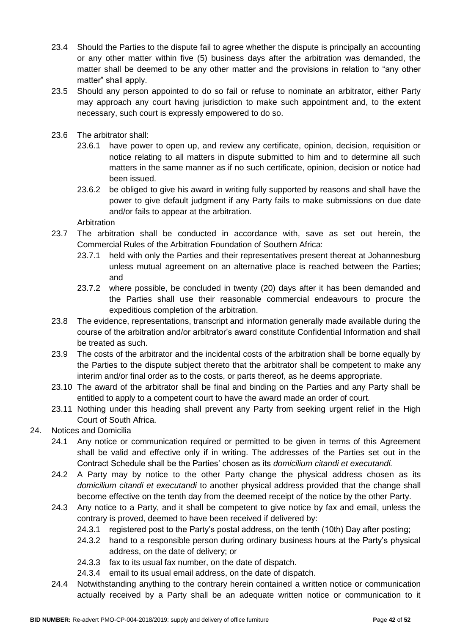- 23.4 Should the Parties to the dispute fail to agree whether the dispute is principally an accounting or any other matter within five (5) business days after the arbitration was demanded, the matter shall be deemed to be any other matter and the provisions in relation to "any other matter" shall apply.
- 23.5 Should any person appointed to do so fail or refuse to nominate an arbitrator, either Party may approach any court having jurisdiction to make such appointment and, to the extent necessary, such court is expressly empowered to do so.
- 23.6 The arbitrator shall:
	- 23.6.1 have power to open up, and review any certificate, opinion, decision, requisition or notice relating to all matters in dispute submitted to him and to determine all such matters in the same manner as if no such certificate, opinion, decision or notice had been issued.
	- 23.6.2 be obliged to give his award in writing fully supported by reasons and shall have the power to give default judgment if any Party fails to make submissions on due date and/or fails to appear at the arbitration.

Arbitration

- 23.7 The arbitration shall be conducted in accordance with, save as set out herein, the Commercial Rules of the Arbitration Foundation of Southern Africa:
	- 23.7.1 held with only the Parties and their representatives present thereat at Johannesburg unless mutual agreement on an alternative place is reached between the Parties; and
	- 23.7.2 where possible, be concluded in twenty (20) days after it has been demanded and the Parties shall use their reasonable commercial endeavours to procure the expeditious completion of the arbitration.
- 23.8 The evidence, representations, transcript and information generally made available during the course of the arbitration and/or arbitrator's award constitute Confidential Information and shall be treated as such.
- 23.9 The costs of the arbitrator and the incidental costs of the arbitration shall be borne equally by the Parties to the dispute subject thereto that the arbitrator shall be competent to make any interim and/or final order as to the costs, or parts thereof, as he deems appropriate.
- 23.10 The award of the arbitrator shall be final and binding on the Parties and any Party shall be entitled to apply to a competent court to have the award made an order of court.
- 23.11 Nothing under this heading shall prevent any Party from seeking urgent relief in the High Court of South Africa.
- 24. Notices and Domicilia
	- 24.1 Any notice or communication required or permitted to be given in terms of this Agreement shall be valid and effective only if in writing. The addresses of the Parties set out in the Contract Schedule shall be the Parties' chosen as its *domicilium citandi et executandi.*
	- 24.2 A Party may by notice to the other Party change the physical address chosen as its *domicilium citandi et executandi* to another physical address provided that the change shall become effective on the tenth day from the deemed receipt of the notice by the other Party.
	- 24.3 Any notice to a Party, and it shall be competent to give notice by fax and email, unless the contrary is proved, deemed to have been received if delivered by:
		- 24.3.1 registered post to the Party's postal address, on the tenth (10th) Day after posting;
		- 24.3.2 hand to a responsible person during ordinary business hours at the Party's physical address, on the date of delivery; or
		- 24.3.3 fax to its usual fax number, on the date of dispatch.
		- 24.3.4 email to its usual email address, on the date of dispatch.
	- 24.4 Notwithstanding anything to the contrary herein contained a written notice or communication actually received by a Party shall be an adequate written notice or communication to it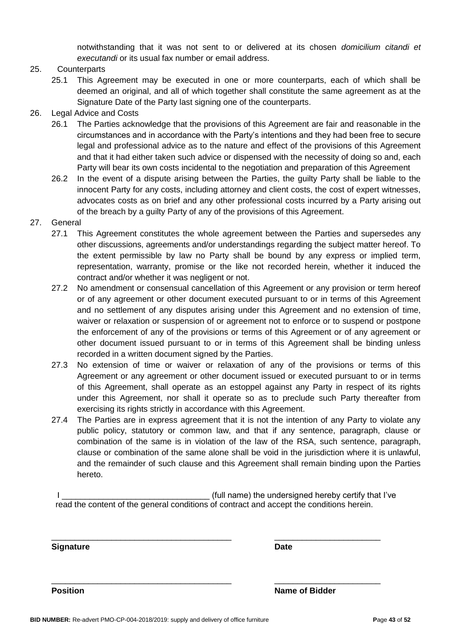notwithstanding that it was not sent to or delivered at its chosen *domicilium citandi et executandi* or its usual fax number or email address.

# 25. Counterparts

25.1 This Agreement may be executed in one or more counterparts, each of which shall be deemed an original, and all of which together shall constitute the same agreement as at the Signature Date of the Party last signing one of the counterparts.

# 26. Legal Advice and Costs

- 26.1 The Parties acknowledge that the provisions of this Agreement are fair and reasonable in the circumstances and in accordance with the Party's intentions and they had been free to secure legal and professional advice as to the nature and effect of the provisions of this Agreement and that it had either taken such advice or dispensed with the necessity of doing so and, each Party will bear its own costs incidental to the negotiation and preparation of this Agreement
- 26.2 In the event of a dispute arising between the Parties, the guilty Party shall be liable to the innocent Party for any costs, including attorney and client costs, the cost of expert witnesses, advocates costs as on brief and any other professional costs incurred by a Party arising out of the breach by a guilty Party of any of the provisions of this Agreement.

## 27. General

- 27.1 This Agreement constitutes the whole agreement between the Parties and supersedes any other discussions, agreements and/or understandings regarding the subject matter hereof. To the extent permissible by law no Party shall be bound by any express or implied term, representation, warranty, promise or the like not recorded herein, whether it induced the contract and/or whether it was negligent or not.
- 27.2 No amendment or consensual cancellation of this Agreement or any provision or term hereof or of any agreement or other document executed pursuant to or in terms of this Agreement and no settlement of any disputes arising under this Agreement and no extension of time, waiver or relaxation or suspension of or agreement not to enforce or to suspend or postpone the enforcement of any of the provisions or terms of this Agreement or of any agreement or other document issued pursuant to or in terms of this Agreement shall be binding unless recorded in a written document signed by the Parties.
- 27.3 No extension of time or waiver or relaxation of any of the provisions or terms of this Agreement or any agreement or other document issued or executed pursuant to or in terms of this Agreement, shall operate as an estoppel against any Party in respect of its rights under this Agreement, nor shall it operate so as to preclude such Party thereafter from exercising its rights strictly in accordance with this Agreement.
- 27.4 The Parties are in express agreement that it is not the intention of any Party to violate any public policy, statutory or common law, and that if any sentence, paragraph, clause or combination of the same is in violation of the law of the RSA, such sentence, paragraph, clause or combination of the same alone shall be void in the jurisdiction where it is unlawful, and the remainder of such clause and this Agreement shall remain binding upon the Parties hereto.

I \_\_\_\_\_\_\_\_\_\_\_\_\_\_\_\_\_\_\_\_\_\_\_\_\_\_\_\_\_\_\_\_ (full name) the undersigned hereby certify that I've read the content of the general conditions of contract and accept the conditions herein.

\_\_\_\_\_\_\_\_\_\_\_\_\_\_\_\_\_\_\_\_\_\_\_\_\_\_\_\_\_\_\_\_\_\_\_\_\_\_\_ \_\_\_\_\_\_\_\_\_\_\_\_\_\_\_\_\_\_\_\_\_\_\_

\_\_\_\_\_\_\_\_\_\_\_\_\_\_\_\_\_\_\_\_\_\_\_\_\_\_\_\_\_\_\_\_\_\_\_\_\_\_\_ \_\_\_\_\_\_\_\_\_\_\_\_\_\_\_\_\_\_\_\_\_\_\_

**Signature Date**

**Position Name of Bidder**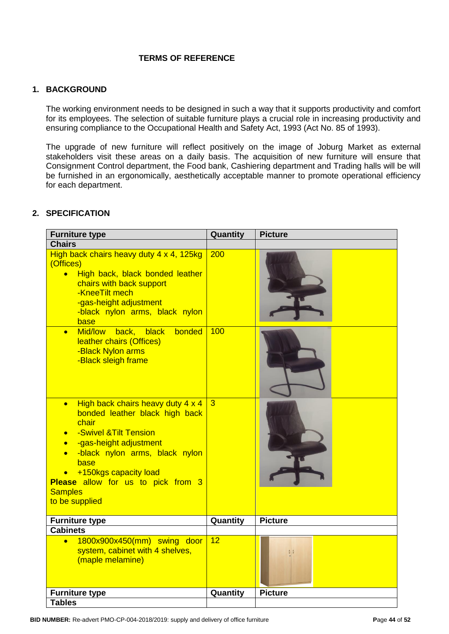# **TERMS OF REFERENCE**

# **1. BACKGROUND**

The working environment needs to be designed in such a way that it supports productivity and comfort for its employees. The selection of suitable furniture plays a crucial role in increasing productivity and ensuring compliance to the Occupational Health and Safety Act, 1993 (Act No. 85 of 1993).

The upgrade of new furniture will reflect positively on the image of Joburg Market as external stakeholders visit these areas on a daily basis. The acquisition of new furniture will ensure that Consignment Control department, the Food bank, Cashiering department and Trading halls will be will be furnished in an ergonomically, aesthetically acceptable manner to promote operational efficiency for each department.

# **2. SPECIFICATION**

| <b>Furniture type</b>                                                                                                                                                                                                                                                                                                | Quantity        | <b>Picture</b> |
|----------------------------------------------------------------------------------------------------------------------------------------------------------------------------------------------------------------------------------------------------------------------------------------------------------------------|-----------------|----------------|
| <b>Chairs</b>                                                                                                                                                                                                                                                                                                        |                 |                |
| High back chairs heavy duty 4 x 4, 125kg<br>(Offices)<br>• High back, black bonded leather<br>chairs with back support<br>-KneeTilt mech<br>-gas-height adjustment<br>-black nylon arms, black nylon<br>base                                                                                                         | 200             |                |
| black<br>bonded<br>Mid/low<br>back,<br>$\bullet$<br>leather chairs (Offices)<br>-Black Nylon arms<br>-Black sleigh frame                                                                                                                                                                                             | 100             |                |
| High back chairs heavy duty 4 x 4<br>$\bullet$<br>bonded leather black high back<br>chair<br>-Swivel & Tilt Tension<br>$\bullet$<br>-gas-height adjustment<br>$\bullet$<br>-black nylon arms, black nylon<br>base<br>+150kgs capacity load<br>Please allow for us to pick from 3<br><b>Samples</b><br>to be supplied | $\overline{3}$  |                |
| <b>Furniture type</b>                                                                                                                                                                                                                                                                                                | Quantity        | <b>Picture</b> |
| <b>Cabinets</b>                                                                                                                                                                                                                                                                                                      |                 |                |
| 1800x900x450(mm) swing door<br>$\bullet$<br>system, cabinet with 4 shelves,<br>(maple melamine)                                                                                                                                                                                                                      | $\overline{12}$ |                |
| <b>Furniture type</b>                                                                                                                                                                                                                                                                                                | Quantity        | <b>Picture</b> |
| <b>Tables</b>                                                                                                                                                                                                                                                                                                        |                 |                |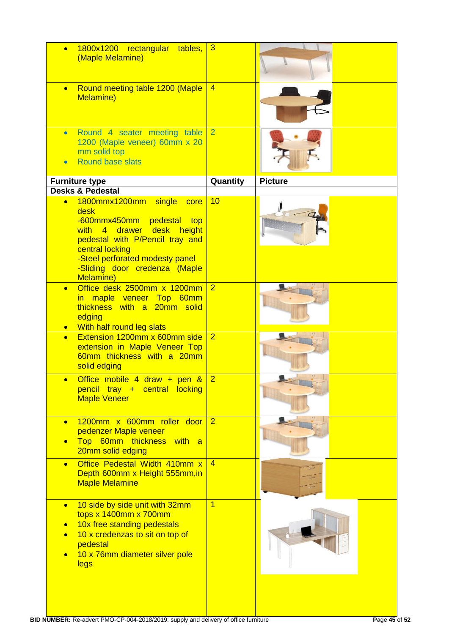| $\bullet$              | 1800x1200 rectangular tables,<br>(Maple Melamine)                                                                                                                                                                                     | $\overline{3}$ |                |
|------------------------|---------------------------------------------------------------------------------------------------------------------------------------------------------------------------------------------------------------------------------------|----------------|----------------|
| $\bullet$              | Round meeting table 1200 (Maple<br>Melamine)                                                                                                                                                                                          | $\overline{4}$ |                |
| $\bullet$              | Round 4 seater meeting table<br>1200 (Maple veneer) 60mm x 20<br>mm solid top<br><b>Round base slats</b>                                                                                                                              | $\overline{2}$ |                |
|                        | <b>Furniture type</b>                                                                                                                                                                                                                 | Quantity       | <b>Picture</b> |
|                        | <b>Desks &amp; Pedestal</b>                                                                                                                                                                                                           |                |                |
| $\bullet$              | 1800mmx1200mm single<br>core<br>desk<br>-600mmx450mm pedestal top<br>with 4 drawer desk height<br>pedestal with P/Pencil tray and<br>central locking<br>-Steel perforated modesty panel<br>-Sliding door credenza (Maple<br>Melamine) | 10             |                |
| $\bullet$<br>$\bullet$ | Office desk 2500mm x 1200mm<br>in maple veneer Top 60mm<br>thickness with a 20mm solid<br>edging<br>With half round leg slats                                                                                                         | $\overline{2}$ |                |
| $\bullet$              | Extension 1200mm x 600mm side<br>extension in Maple Veneer Top<br>60mm thickness with a 20mm<br>solid edging                                                                                                                          | $\overline{2}$ |                |
|                        | Office mobile 4 draw + pen &<br>pencil tray + central locking<br><b>Maple Veneer</b>                                                                                                                                                  | $\overline{2}$ |                |
| $\bullet$              | 1200mm x 600mm roller door<br>pedenzer Maple veneer<br>Top 60mm thickness with a<br>20mm solid edging                                                                                                                                 | $\overline{2}$ |                |
| $\bullet$              | Office Pedestal Width 410mm x<br>Depth 600mm x Height 555mm, in<br><b>Maple Melamine</b>                                                                                                                                              | $\overline{4}$ |                |
| $\bullet$              | 10 side by side unit with 32mm<br>tops x 1400mm x 700mm<br>10x free standing pedestals<br>10 x credenzas to sit on top of<br>pedestal<br>10 x 76mm diameter silver pole<br><b>legs</b>                                                | $\overline{1}$ |                |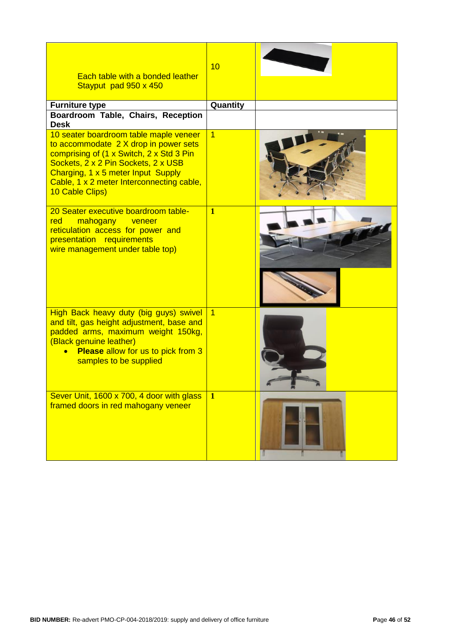| Each table with a bonded leather<br>Stayput pad 950 x 450                                                                                                                                                                                                                | 10             |  |
|--------------------------------------------------------------------------------------------------------------------------------------------------------------------------------------------------------------------------------------------------------------------------|----------------|--|
| <b>Furniture type</b><br>Boardroom Table, Chairs, Reception<br><b>Desk</b>                                                                                                                                                                                               | Quantity       |  |
| 10 seater boardroom table maple veneer<br>to accommodate 2 X drop in power sets<br>comprising of (1 x Switch, 2 x Std 3 Pin<br>Sockets, 2 x 2 Pin Sockets, 2 x USB<br>Charging, 1 x 5 meter Input Supply<br>Cable, 1 x 2 meter Interconnecting cable,<br>10 Cable Clips) | $\overline{1}$ |  |
| 20 Seater executive boardroom table-<br>red<br>mahogany veneer<br>reticulation access for power and<br>presentation requirements<br>wire management under table top)                                                                                                     | $\overline{1}$ |  |
| High Back heavy duty (big guys) swivel<br>and tilt, gas height adjustment, base and<br>padded arms, maximum weight 150kg,<br>(Black genuine leather)<br><b>Please allow for us to pick from 3</b><br>$\bullet$<br>samples to be supplied                                 | $\overline{1}$ |  |
| Sever Unit, 1600 x 700, 4 door with glass<br>framed doors in red mahogany veneer                                                                                                                                                                                         | $\mathbf{1}$   |  |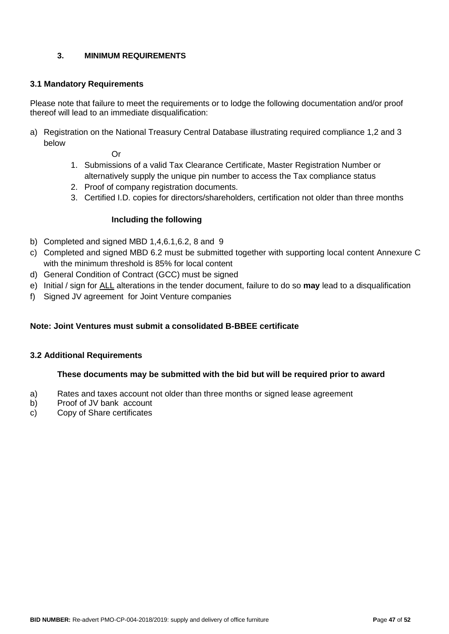# **3. MINIMUM REQUIREMENTS**

## **3.1 Mandatory Requirements**

Please note that failure to meet the requirements or to lodge the following documentation and/or proof thereof will lead to an immediate disqualification:

a) Registration on the National Treasury Central Database illustrating required compliance 1,2 and 3 below

Or

- 1. Submissions of a valid Tax Clearance Certificate, Master Registration Number or alternatively supply the unique pin number to access the Tax compliance status
- 2. Proof of company registration documents.
- 3. Certified I.D. copies for directors/shareholders, certification not older than three months

## **Including the following**

- b) Completed and signed MBD 1,4,6.1,6.2, 8 and 9
- c) Completed and signed MBD 6.2 must be submitted together with supporting local content Annexure C with the minimum threshold is 85% for local content
- d) General Condition of Contract (GCC) must be signed
- e) Initial / sign for ALL alterations in the tender document, failure to do so **may** lead to a disqualification
- f) Signed JV agreement for Joint Venture companies

## **Note: Joint Ventures must submit a consolidated B-BBEE certificate**

## **3.2 Additional Requirements**

#### **These documents may be submitted with the bid but will be required prior to award**

- a) Rates and taxes account not older than three months or signed lease agreement
- b) Proof of JV bank account
- c) Copy of Share certificates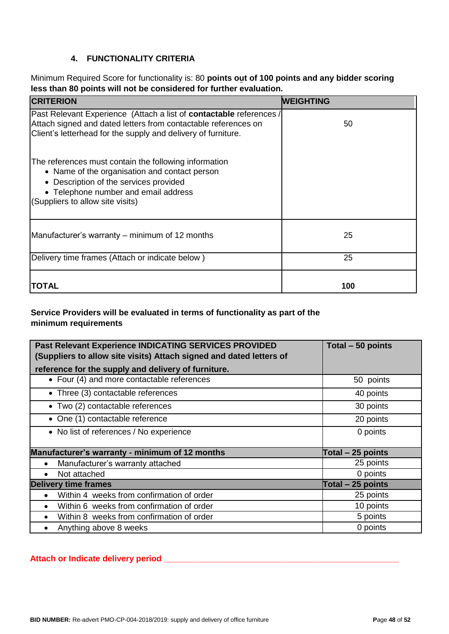# **4. FUNCTIONALITY CRITERIA**

Minimum Required Score for functionality is: 80 **points out of 100 points and any bidder scoring less than 80 points will not be considered for further evaluation.**

| <b>CRITERION</b>                                                                                                                                                                                                             | <b>WEIGHTING</b> |
|------------------------------------------------------------------------------------------------------------------------------------------------------------------------------------------------------------------------------|------------------|
| Past Relevant Experience (Attach a list of <b>contactable</b> references /<br>Attach signed and dated letters from contactable references on<br>Client's letterhead for the supply and delivery of furniture.                | 50               |
| The references must contain the following information<br>• Name of the organisation and contact person<br>• Description of the services provided<br>• Telephone number and email address<br>(Suppliers to allow site visits) |                  |
| Manufacturer's warranty – minimum of 12 months                                                                                                                                                                               | 25               |
| Delivery time frames (Attach or indicate below)                                                                                                                                                                              | 25               |
| TOTAL                                                                                                                                                                                                                        | 100              |

# **Service Providers will be evaluated in terms of functionality as part of the minimum requirements**

| Past Relevant Experience INDICATING SERVICES PROVIDED<br>(Suppliers to allow site visits) Attach signed and dated letters of | Total - 50 points  |
|------------------------------------------------------------------------------------------------------------------------------|--------------------|
| reference for the supply and delivery of furniture.                                                                          |                    |
| • Four (4) and more contactable references                                                                                   | 50 points          |
| • Three (3) contactable references                                                                                           | 40 points          |
| • Two (2) contactable references                                                                                             | 30 points          |
| • One (1) contactable reference                                                                                              | 20 points          |
| • No list of references / No experience                                                                                      | 0 points           |
| Manufacturer's warranty - minimum of 12 months                                                                               | Total $-25$ points |
| Manufacturer's warranty attached                                                                                             | 25 points          |
| Not attached                                                                                                                 | 0 points           |
| <b>Delivery time frames</b>                                                                                                  | Total - 25 points  |
| Within 4 weeks from confirmation of order<br>$\bullet$                                                                       | 25 points          |
| Within 6 weeks from confirmation of order<br>$\bullet$                                                                       | 10 points          |
| Within 8 weeks from confirmation of order<br>$\bullet$                                                                       | 5 points           |
| Anything above 8 weeks<br>$\bullet$                                                                                          | 0 points           |

## **Attach or Indicate delivery period \_\_\_\_\_\_\_\_\_\_\_\_\_\_\_\_\_\_\_\_\_\_\_\_\_\_\_\_\_\_\_\_\_\_\_\_\_\_\_\_\_\_\_\_\_\_\_\_\_\_\_**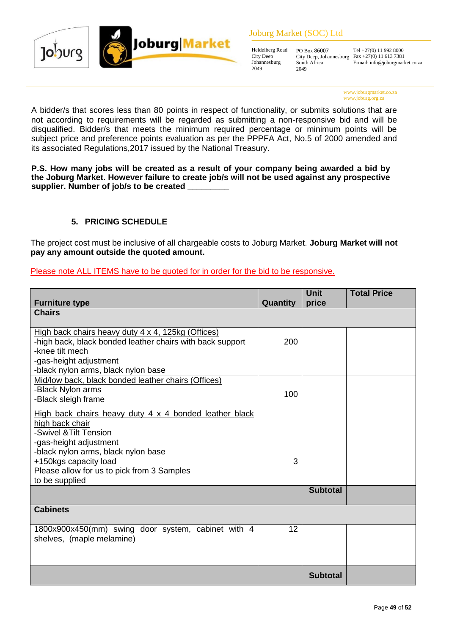



#### Joburg Market (SOC) Ltd

Heidelberg Road City Deep Johannesburg 2049

PO Box 86007 City Deep, Johannesburg South Africa 2049

Tel +27(0) 11 992 8000 Fax +27(0) 11 613 7381 E-mail: info@joburgmarket.co.za

www.joburgmarket.co.za www.joburg.org.za

A bidder/s that scores less than 80 points in respect of functionality, or submits solutions that are not according to requirements will be regarded as submitting a non-responsive bid and will be disqualified. Bidder/s that meets the minimum required percentage or minimum points will be subject price and preference points evaluation as per the PPPFA Act, No.5 of 2000 amended and its associated Regulations,2017 issued by the National Treasury.

**P.S. How many jobs will be created as a result of your company being awarded a bid by the Joburg Market. However failure to create job/s will not be used against any prospective supplier. Number of job/s to be created \_\_\_\_\_\_\_\_\_**

# **5. PRICING SCHEDULE**

The project cost must be inclusive of all chargeable costs to Joburg Market. **Joburg Market will not pay any amount outside the quoted amount.** 

## Please note ALL ITEMS have to be quoted for in order for the bid to be responsive.

| <b>Furniture type</b>                                                                                                                                                                                                                                         | Quantity | <b>Unit</b><br>price | <b>Total Price</b> |
|---------------------------------------------------------------------------------------------------------------------------------------------------------------------------------------------------------------------------------------------------------------|----------|----------------------|--------------------|
| <b>Chairs</b>                                                                                                                                                                                                                                                 |          |                      |                    |
| High back chairs heavy duty 4 x 4, 125kg (Offices)<br>-high back, black bonded leather chairs with back support<br>-knee tilt mech<br>-gas-height adjustment<br>-black nylon arms, black nylon base                                                           | 200      |                      |                    |
| Mid/low back, black bonded leather chairs (Offices)<br>-Black Nylon arms<br>-Black sleigh frame                                                                                                                                                               | 100      |                      |                    |
| High back chairs heavy duty 4 x 4 bonded leather black<br>high back chair<br>-Swivel & Tilt Tension<br>-gas-height adjustment<br>-black nylon arms, black nylon base<br>+150kgs capacity load<br>Please allow for us to pick from 3 Samples<br>to be supplied | 3        |                      |                    |
|                                                                                                                                                                                                                                                               |          | <b>Subtotal</b>      |                    |
| <b>Cabinets</b>                                                                                                                                                                                                                                               |          |                      |                    |
| 1800x900x450(mm) swing door system, cabinet with 4<br>shelves, (maple melamine)                                                                                                                                                                               | 12       |                      |                    |
|                                                                                                                                                                                                                                                               |          | <b>Subtotal</b>      |                    |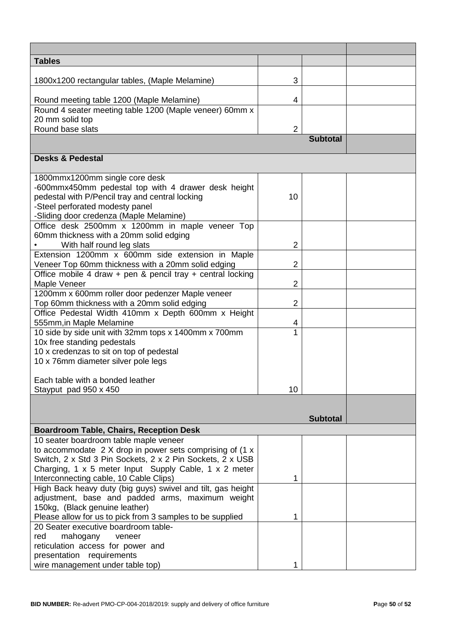| <b>Tables</b>                                                                               |                |                 |  |
|---------------------------------------------------------------------------------------------|----------------|-----------------|--|
| 1800x1200 rectangular tables, (Maple Melamine)                                              | 3              |                 |  |
|                                                                                             |                |                 |  |
| Round meeting table 1200 (Maple Melamine)                                                   | 4              |                 |  |
| Round 4 seater meeting table 1200 (Maple veneer) 60mm x                                     |                |                 |  |
| 20 mm solid top<br>Round base slats                                                         |                |                 |  |
|                                                                                             | $\overline{2}$ | <b>Subtotal</b> |  |
|                                                                                             |                |                 |  |
| <b>Desks &amp; Pedestal</b>                                                                 |                |                 |  |
|                                                                                             |                |                 |  |
| 1800mmx1200mm single core desk                                                              |                |                 |  |
| -600mmx450mm pedestal top with 4 drawer desk height                                         |                |                 |  |
| pedestal with P/Pencil tray and central locking<br>-Steel perforated modesty panel          | 10             |                 |  |
| -Sliding door credenza (Maple Melamine)                                                     |                |                 |  |
| Office desk 2500mm x 1200mm in maple veneer Top                                             |                |                 |  |
| 60mm thickness with a 20mm solid edging                                                     |                |                 |  |
| With half round leg slats                                                                   | $\overline{2}$ |                 |  |
| Extension 1200mm x 600mm side extension in Maple                                            |                |                 |  |
| Veneer Top 60mm thickness with a 20mm solid edging                                          | $\overline{2}$ |                 |  |
| Office mobile 4 draw + pen & pencil tray + central locking                                  |                |                 |  |
| Maple Veneer                                                                                | $\overline{2}$ |                 |  |
| 1200mm x 600mm roller door pedenzer Maple veneer                                            |                |                 |  |
| Top 60mm thickness with a 20mm solid edging                                                 | $\overline{2}$ |                 |  |
| Office Pedestal Width 410mm x Depth 600mm x Height                                          |                |                 |  |
| 555mm, in Maple Melamine                                                                    | 4              |                 |  |
| 10 side by side unit with 32mm tops x 1400mm x 700mm                                        |                |                 |  |
| 10x free standing pedestals                                                                 |                |                 |  |
| 10 x credenzas to sit on top of pedestal                                                    |                |                 |  |
| 10 x 76mm diameter silver pole legs                                                         |                |                 |  |
| Each table with a bonded leather                                                            |                |                 |  |
| Stayput pad 950 x 450                                                                       | 10             |                 |  |
|                                                                                             |                |                 |  |
|                                                                                             |                |                 |  |
|                                                                                             |                | <b>Subtotal</b> |  |
| <b>Boardroom Table, Chairs, Reception Desk</b>                                              |                |                 |  |
| 10 seater boardroom table maple veneer                                                      |                |                 |  |
| to accommodate $2 X$ drop in power sets comprising of (1 x                                  |                |                 |  |
| Switch, 2 x Std 3 Pin Sockets, 2 x 2 Pin Sockets, 2 x USB                                   |                |                 |  |
| Charging, 1 x 5 meter Input Supply Cable, 1 x 2 meter                                       |                |                 |  |
| Interconnecting cable, 10 Cable Clips)                                                      | 1              |                 |  |
| High Back heavy duty (big guys) swivel and tilt, gas height                                 |                |                 |  |
| adjustment, base and padded arms, maximum weight                                            |                |                 |  |
| 150kg, (Black genuine leather)<br>Please allow for us to pick from 3 samples to be supplied | 1              |                 |  |
| 20 Seater executive boardroom table-                                                        |                |                 |  |
| red<br>mahogany<br>veneer                                                                   |                |                 |  |
| reticulation access for power and                                                           |                |                 |  |
| presentation requirements                                                                   |                |                 |  |
| wire management under table top)                                                            | 1              |                 |  |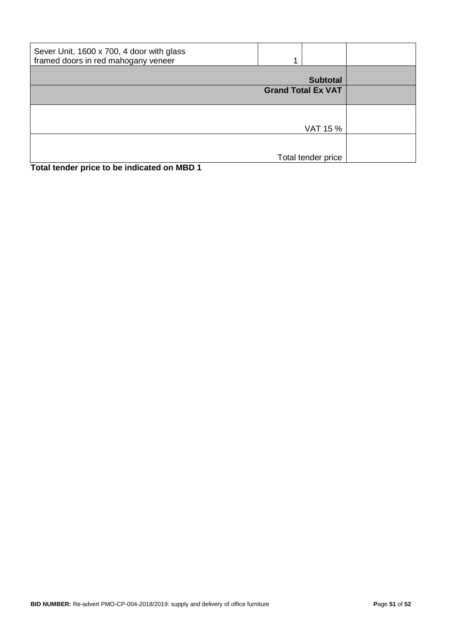| Sever Unit, 1600 x 700, 4 door with glass<br>framed doors in red mahogany veneer |                           |  |
|----------------------------------------------------------------------------------|---------------------------|--|
|                                                                                  | <b>Subtotal</b>           |  |
|                                                                                  | <b>Grand Total Ex VAT</b> |  |
|                                                                                  |                           |  |
|                                                                                  | VAT 15 %                  |  |
|                                                                                  |                           |  |
|                                                                                  | Total tender price        |  |
| Total tender price to be indicated on MBD 1                                      |                           |  |